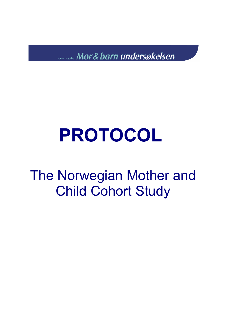den norske Mor & barn undersøkelsen

### **PROTOCOL**

The Norwegian Mother and Child Cohort Study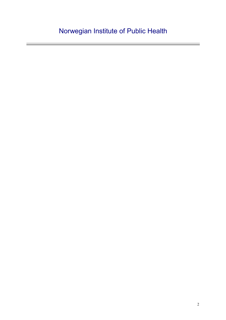#### Norwegian Institute of Public Health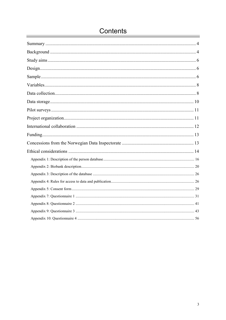#### Contents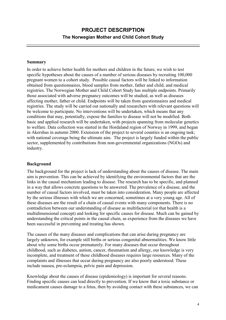#### **PROJECT DESCRIPTION The Norwegian Mother and Child Cohort Study**

#### **Summary**

In order to achieve better health for mothers and children in the future, we wish to test specific hypotheses about the causes of a number of serious diseases by recruiting 100,000 pregnant women to a cohort study. Possible causal factors will be linked to information obtained from questionnaires, blood samples from mother, father and child, and medical registries. The Norwegian Mother and Child Cohort Study has multiple endpoints. Primarily those associated with adverse pregnancy outcomes will be studied, as well as diseases affecting mother, father or child. Endpoints will be taken from questionnaires and medical registries. The study will be carried out nationally and researchers with relevant questions will be welcome to participate. No interventions will be undertaken, which means that any conditions that may, potentially, expose the families to disease will not be modified. Both basic and applied research will be undertaken, with projects spanning from molecular genetics to welfare. Data collection was started in the Hordaland region of Norway in 1999, and began in Akershus in autumn 2000. Extension of the project to several counties is an ongoing task; with national coverage being the ultimate aim. The project is largely funded within the public sector, supplemented by contributions from non-governmental organizations (NGOs) and industry.

#### **Background**

The background for the project is lack of understanding about the causes of disease. The main aim is prevention. This can be achieved by identifying the environmental factors that are the links in the causal mechanism leading to disease. The research has to be specific, and planned in a way that allows concrete questions to be answered. The prevalence of a disease, and the number of causal factors involved, must be taken into consideration. Many people are affected by the serious illnesses with which we are concerned, sometimes at a very young age. All of these diseases are the result of a chain of causal events with many components. There is no contradiction between our understanding of disease as multifactorial (or that health is a multidimensional concept) and looking for specific causes for disease. Much can be gained by understanding the critical points in the causal chain, as experience from the diseases we have been successful in preventing and treating has shown.

The causes of the many diseases and complications that can arise during pregnancy are largely unknown, for example still births or serious congenital abnormalities. We know little about why some births occur prematurely. For many diseases that occur throughout childhood, such as diabetes, autism, cancer, rheumatism and allergy, our knowledge is very incomplete, and treatment of these childhood diseases requires large resources. Many of the complaints and illnesses that occur during pregnancy are also poorly understood. These include nausea, pre-eclampsia, pelvic pain and depression.

Knowledge about the causes of disease (epidemiology) is important for several reasons. Finding specific causes can lead directly to prevention. If we know that a toxic substance or medicament causes damage to a fetus, then by avoiding contact with these substances, we can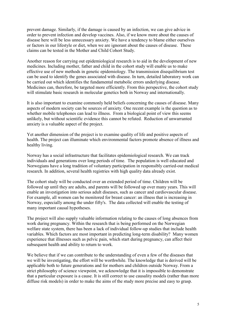prevent damage. Similarly, if the damage is caused by an infection, we can give advice in order to prevent infection and develop vaccines. Also, if we know more about the causes of disease here will be less unnecessary anxiety. We have a tendency to blame either ourselves or factors in our lifestyle or diet, when we are ignorant about the causes of disease. These claims can be tested in the Mother and Child Cohort Study.

Another reason for carrying out epidemiological research is to aid in the development of new medicines. Including mother, father and child in the cohort study will enable us to make effective use of new methods in genetic epidemiology. The transmission disequilibrium test can be used to identify the genes associated with disease. In turn, detailed laboratory work can be carried out which identifies the fundamental metabolic errors underlying disease. Medicines can, therefore, be targeted more efficiently. From this perspective, the cohort study will stimulate basic research in molecular genetics both in Norway and internationally.

It is also important to examine commonly held beliefs concerning the causes of disease. Many aspects of modern society can be sources of anxiety. One recent example is the question as to whether mobile telephones can lead to illness. From a biological point of view this seems unlikely, but without scientific evidence this cannot be refuted. Reduction of unwarranted anxiety is a valuable aspect of the project.

Yet another dimension of the project is to examine quality of life and positive aspects of health. The project can illuminate which environmental factors promote absence of illness and healthy living.

Norway has a social infrastructure that facilitates epidemiological research. We can track individuals and generations over long periods of time. The population is well educated and Norwegians have a long tradition of voluntary participation in responsibly carried-out medical research. In addition, several health registries with high quality data already exist.

The cohort study will be conducted over an extended period of time. Children will be followed up until they are adults, and parents will be followed up over many years. This will enable an investigation into serious adult diseases, such as cancer and cardiovascular disease. For example, all women can be monitored for breast cancer: an illness that is increasing in Norway, especially among the under fifty's. The data collected will enable the testing of many important causal hypotheses.

The project will also supply valuable information relating to the causes of long absences from work during pregnancy. Within the research that is being performed on the Norwegian welfare state system, there has been a lack of individual follow-up studies that include health variables. Which factors are most important in predicting long-term disability? Many women experience that illnesses such as pelvic pain, which start during pregnancy, can affect their subsequent health and ability to return to work.

We believe that if we can contribute to the understanding of even a few of the diseases that we will be investigating, the effort will be worthwhile. The knowledge that is derived will be applicable both to future generations and for mothers and children outside Norway. From a strict philosophy of science viewpoint, we acknowledge that it is impossible to demonstrate that a particular exposure is a cause. It is still correct to use causality models (rather than more diffuse risk models) in order to make the aims of the study more precise and easy to grasp.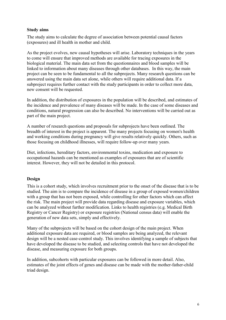#### **Study aims**

The study aims to calculate the degree of association between potential causal factors (exposures) and ill health in mother and child.

As the project evolves, new causal hypotheses will arise. Laboratory techniques in the years to come will ensure that improved methods are available for tracing exposures in the biological material. The main data set from the questionnaires and blood samples will be linked to information about many diseases through other databases. In this way, the main project can be seen to be fundamental to all the subprojects. Many research questions can be answered using the main data set alone, while others will require additional data. If a subproject requires further contact with the study participants in order to collect more data, new consent will be requested.

In addition, the distribution of exposures in the population will be described, and estimates of the incidence and prevalence of many diseases will be made. In the case of some diseases and conditions, natural progression can also be described. No interventions will be carried out as part of the main project.

A number of research questions and proposals for subprojects have been outlined. The breadth of interest in the project is apparent. The many projects focusing on women's health and working conditions during pregnancy will give results relatively quickly. Others, such as those focusing on childhood illnesses, will require follow-up over many years.

Diet, infections, hereditary factors, environmental toxins, medication and exposure to occupational hazards can be mentioned as examples of exposures that are of scientific interest. However, they will not be detailed in this protocol.

#### **Design**

This is a cohort study, which involves recruitment prior to the onset of the disease that is to be studied. The aim is to compare the incidence of disease in a group of exposed women/children with a group that has not been exposed, while controlling for other factors which can affect the risk. The main project will provide data regarding disease and exposure variables, which can be analyzed without further modification. Links to health registries (e.g. Medical Birth Registry or Cancer Registry) or exposure registries (National census data) will enable the generation of new data sets, simply and effectively.

Many of the subprojects will be based on the cohort design of the main project. When additional exposure data are required, or blood samples are being analyzed, the relevant design will be a nested case-control study. This involves identifying a sample of subjects that have developed the disease to be studied, and selecting controls that have not developed the disease, and measuring exposure for both groups.

In addition, subcohorts with particular exposures can be followed in more detail. Also, estimates of the joint effects of genes and disease can be made with the mother-father-child triad design.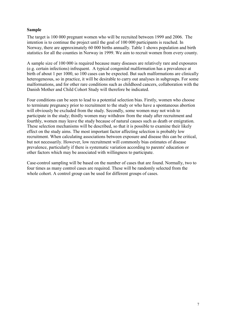#### **Sample**

The target is 100 000 pregnant women who will be recruited between 1999 and 2006. The intention is to continue the project until the goal of 100 000 participants is reached. In Norway, there are approximately 60 000 births annually. Table 1 shows population and birth statistics for all the counties in Norway in 1999. We aim to recruit women from every county.

A sample size of 100 000 is required because many diseases are relatively rare and exposures (e.g. certain infections) infrequent. A typical congenital malformation has a prevalence at birth of about 1 per 1000, so 100 cases can be expected. But such malformations are clinically heterogeneous, so in practice, it will be desirable to carry out analyses in subgroups. For some malformations, and for other rare conditions such as childhood cancers, collaboration with the Danish Mother and Child Cohort Study will therefore be indicated.

Four conditions can be seen to lead to a potential selection bias. Firstly, women who choose to terminate pregnancy prior to recruitment to the study or who have a spontaneous abortion will obviously be excluded from the study. Secondly, some women may not wish to participate in the study; thirdly women may withdraw from the study after recruitment and fourthly, women may leave the study because of natural causes such as death or emigration. These selection mechanisms will be described, so that it is possible to examine their likely effect on the study aims. The most important factor affecting selection is probably low recruitment. When calculating associations between exposure and disease this can be critical, but not necessarily. However, low recruitment will commonly bias estimates of disease prevalence, particularly if there is systematic variation according to parents' education or other factors which may be associated with willingness to participate.

Case-control sampling will be based on the number of cases that are found. Normally, two to four times as many control cases are required. These will be randomly selected from the whole cohort. A control group can be used for different groups of cases.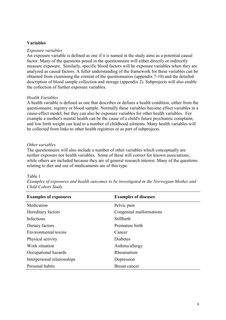#### **Variables**

#### *Exposure variables*

An exposure variable is defined as one if it is named in the study aims as a potential causal factor. Many of the questions posed in the questionnaire will either directly or indirectly measure exposure. Similarly, specific blood factors will be exposure variables when they are analyzed as causal factors. A fuller understanding of the framework for these variables can be obtained from examining the content of the questionnaires (appendix 7-10) and the detailed description of blood sample collection and storage (appendix 2). Subprojects will also enable the collection of further exposure variables.

#### *Health Variables*

A health variable is defined as one that describes or defines a health condition, either from the questionnaire, registry or blood sample. Normally these variables become effect variables in a cause-effect model, but they can also be exposure variables for other health variables. For example a mother's mental health can be the cause of a child's future psychiatric complaint, and low birth weight can lead to a number of childhood ailments. Many health variables will be collected from links to other health registries or as part of subprojects.

#### *Other variables*

The questionnaire will also include a number of other variables which conceptually are neither exposure nor health variables. Some of these will correct for known associations, while others are included because they are of general research interest. Many of the questions relating to diet and use of medicaments are of this type.

#### Table 1

| <b>Examples of exposures</b> | <b>Examples of diseases</b> |
|------------------------------|-----------------------------|
| Medication                   | Pelvic pain                 |
| Hereditary factors           | Congenital malformations    |
| Infections                   | Stillbirth                  |
| Dietary factors              | Premature birth             |
| Environmental toxins         | Cancer                      |
| Physical activity            | Diabetes                    |
| Work situation               | Asthma/allergy              |
| Occupational hazards         | Rheumatism                  |
| Interpersonal relationships  | Depression                  |
| Personal habits              | Breast cancer               |

*Examples of exposures and health outcomes to be investigated in the Norwegian Mother and Child Cohort Study.*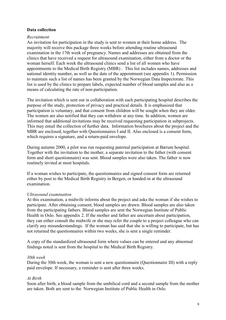#### **Data collection**

#### *Recruitment*

An invitation for participation in the study is sent to women at their home address. The majority will receive this package three weeks before attending routine ultrasound examination in the 17th week of pregnancy. Names and addresses are obtained from the clinics that have received a request for ultrasound examination, either from a doctor or the woman herself. Each week the ultrasound clinics send a list of all women who have appointments to the Medical Birth Registry (MBR) . This list includes names, addresses and national identity number, as well as the date of the appointment (see appendix 1). Permission to maintain such a list of names has been granted by the Norwegian Data Inspectorate. This list is used by the clinics to prepare labels, expected number of blood samples and also as a means of calculating the rate of non-participation.

The invitation which is sent out in collaboration with each participating hospital describes the purpose of the study, protection of privacy and practical details. It is emphasized that participation is voluntary, and that consent from children will be sought when they are older. The women are also notified that they can withdraw at any time. In addition, women are informed that additional invitations may be received requesting participation in subprojects. This may entail the collection of further data. Information brochures about the project and the MBR are enclosed, together with Questionnaires I and II. Also enclosed is a consent form, which requires a signature, and a return-paid envelope.

During autumn 2000, a pilot was run requesting paternal participation at Bærum hospital. Together with the invitation to the mother, a separate invitation to the father (with consent form and short questionnaire) was sent. Blood samples were also taken. The father is now routinely invited at most hospitals.

If a woman wishes to participate, the questionnaires and signed consent form are returned either by post to the Medical Birth Registry in Bergen, or handed-in at the ultrasound examination.

#### *Ultrasound examination*

At this examination, a midwife informs about the project and asks the woman if she wishes to participate. After obtaining consent, blood samples are drawn. Blood samples are also taken from the participating fathers. Blood samples are sent the Norwegian Institute of Public Health in Oslo. See appendix 2. If the mother and father are uncertain about participation, they can either consult the midwife or she may refer the couple to a project colleague who can clarify any misunderstandings. If the woman has said that she is willing to participate, but has not returned the questionnaires within two weeks, she is sent a single reminder.

A copy of the standardized ultrasound form where values can be entered and any abnormal findings noted is sent from the hospital to the Medical Birth Registry.

#### *30th week*

During the 30th week, the woman is sent a new questionnaire (Questionnaire III) with a reply paid envelope. If necessary, a reminder is sent after three weeks.

#### *At Birth*

Soon after birth, a blood sample from the umbilical cord and a second sample from the mother are taken. Both are sent to the Norwegian Institute of Public Health in Oslo.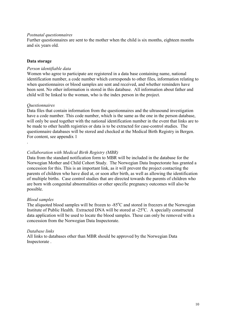#### *Postnatal questionnaires*

Further questionnaires are sent to the mother when the child is six months, eighteen months and six years old.

#### **Data storage**

#### *Person identifiable data*

Women who agree to participate are registered in a data base containing name, national identification number, a code number which corresponds to other files, information relating to when questionnaires or blood samples are sent and received, and whether reminders have been sent. No other information is stored in this database. All information about father and child will be linked to the woman, who is the index person in the project.

#### *Questionnaires*

.

Data files that contain information from the questionnaires and the ultrasound investigation have a code number. This code number, which is the same as the one in the person database, will only be used together with the national identification number in the event that links are to be made to other health registries or data is to be extracted for case-control studies. The questionnaire databases will be stored and checked at the Medical Birth Registry in Bergen. For content, see appendix 1

#### *Collaboration with Medical Birth Registry (MBR)*

Data from the standard notification form to MBR will be included in the database for the Norwegian Mother and Child Cohort Study. The Norwegian Data Inspectorate has granted a concession for this. This is an important link, as it will prevent the project contacting the parents of children who have died at, or soon after birth, as well as allowing the identification of multiple births. Case control studies that are directed towards the parents of children who are born with congenital abnormalities or other specific pregnancy outcomes will also be possible.

#### *Blood samples*

The aliquoted blood samples will be frozen to  $-85^{\circ}$ C and stored in freezers at the Norwegian Institute of Public Health. Extracted DNA will be stored at -25°C. A specially constructed data application will be used to locate the blood samples. These can only be removed with a concession from the Norwegian Data Inspectorate.

#### *Database links*

All links to databases other than MBR should be approved by the Norwegian Data Inspectorate .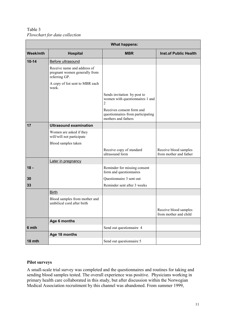Table 3 *Flowchart for data collection*

|           |                                                                               | <b>What happens:</b>                                                                  |                                                 |
|-----------|-------------------------------------------------------------------------------|---------------------------------------------------------------------------------------|-------------------------------------------------|
| Week/mth  | <b>Hospital</b>                                                               | <b>MBR</b>                                                                            | <b>Inst.of Public Health</b>                    |
| $10 - 14$ | Before ultrasound                                                             |                                                                                       |                                                 |
|           | Receive name and address of<br>pregnant women generally from<br>referring GP. |                                                                                       |                                                 |
|           | A copy of list sent to MBR each<br>week.                                      |                                                                                       |                                                 |
|           |                                                                               | Sends invitation by post to<br>women with questionnaires 1 and<br>$\overline{2}$      |                                                 |
|           |                                                                               | Receives consent form and<br>questionnaires from participating<br>mothers and fathers |                                                 |
| 17        | <b>Ultrasound examination</b>                                                 |                                                                                       |                                                 |
|           | Women are asked if they<br>will/will not participate                          |                                                                                       |                                                 |
|           | Blood samples taken                                                           |                                                                                       |                                                 |
|           |                                                                               | Receive copy of standard<br>ultrasound form                                           | Receive blood samples<br>from mother and father |
|           | Later in pregnancy                                                            |                                                                                       |                                                 |
| $18 -$    |                                                                               | Reminder for missing consent<br>form and questionnaires                               |                                                 |
| 30        |                                                                               | Questionnaire 3 sent out                                                              |                                                 |
| 33        |                                                                               | Reminder sent after 3 weeks                                                           |                                                 |
|           | <b>Birth</b>                                                                  |                                                                                       |                                                 |
|           | Blood samples from mother and<br>umbilical cord after birth                   |                                                                                       |                                                 |
|           |                                                                               |                                                                                       | Receive blood samples<br>from mother and child  |
|           | Age 6 months                                                                  |                                                                                       |                                                 |
| 6 mth     |                                                                               | Send out questionnaire 4                                                              |                                                 |
|           | Age 18 months                                                                 |                                                                                       |                                                 |
| 18 mth    |                                                                               | Send out questionnaire 5                                                              |                                                 |

#### **Pilot surveys**

A small-scale trial survey was completed and the questionnaires and routines for taking and sending blood samples tested. The overall experience was positive. Physicians working in primary health care collaborated in this study, but after discussion within the Norwegian Medical Association recruitment by this channel was abandoned. From summer 1999,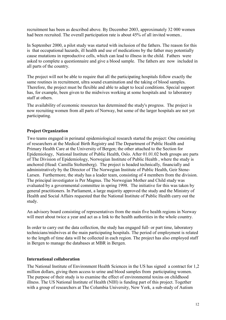recruitment has been as described above. By December 2003, approximately 32 000 women had been recruited. The overall participation rate is about 45% of all invited women..

In September 2000, a pilot study was started with inclusion of the fathers. The reason for this is that occupational hazards, ill health and use of medications by the father may potentially cause mutations in reproductive cells, which can lead to illness in the child. Fathers were asked to complete a questionnaire and give a blood sample. The fathers are now included in all parts of the country.

The project will not be able to require that all the participating hospitals follow exactly the same routines in recruitment, ultra sound examination and the taking of blood samples. Therefore, the project must be flexible and able to adapt to local conditions. Special support has, for example, been given to the midwives working at some hospitals and to laboratory staff at others.

The availability of economic resources has determined the study's progress. The project is now recruiting women from all parts of Norway, but some of the larger hospitals are not yet participating.

#### **Project Organization**

Two teams engaged in perinatal epidemiological research started the project: One consisting of researchers at the Medical Birth Registry and The Department of Public Health and Primary Health Care at the University of Bergen; the other attached to the Section for Epidemiology, National Institute of Public Health, Oslo. After 01.01.02 both groups are parts of The Division of Epidemiology, Norwegian Institute of Public Health , where the study is anchored (Head: Camilla Stoltenberg). The project is headed technically, financially and administratively by the Director of The Norwegian Institute of Public Health, Geir Stene-Larsen. Furthermore, the study has a leader team, consisting of 4 members from the division. The principal investigator is Per Magnus. The Norwegian Mother and Child study was evaluated by a governmental committee in spring 1998. The initiative for this was taken by general practitioners. In Parliament, a large majority approved the study and the Ministry of Health and Social Affairs requested that the National Institute of Public Health carry out the study.

An advisory board consisting of representatives from the main five health regions in Norway will meet about twice a year and act as a link to the health authorities in the whole country.

In order to carry out the data collection, the study has engaged full- or part time, laboratory technicians/midwives at the main participating hospitals. The period of employment is related to the length of time data will be collected in each region. The project has also employed staff in Bergen to manage the databases at MBR in Bergen.

#### **International collaboration**

The National Institute of Environment Health Sciences in the US has signed a contract for 1,2 million dollars, giving them access to urine and blood samples from participating women. The purpose of their study is to examine the effect of environmental toxins on childhood illness. The US National Institute of Health (NIH) is funding part of this project. Together with a group of researchers at The Columbia University, New York, a sub-study of Autism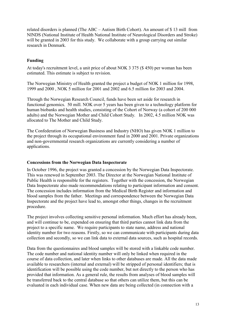related disorders is planned (The ABC – Autism Birth Cohort). An amount of \$ 13 mill from NINDS (National Institute of Health National Institute of Neurological Disorders and Stroke) will be granted in 2003 for this study. We collaborate with a group carrying out similar research in Denmark.

#### **Funding**

At today's recruitment level, a unit price of about NOK 3 375 (\$ 450) per woman has been estimated. This estimate is subject to revision.

The Norwegian Ministry of Health granted the project a budget of NOK 1 million for 1998, 1999 and 2000 , NOK 5 million for 2001 and 2002 and 6.5 million for 2003 and 2004.

Through the Norwegian Research Council, funds have been set aside for research in functional genomics. 50 mill. NOK over 5 years has been given to a technology platform for human biobanks and health studies, consisting of the Cohort of Norway (a cohort of 200 000 adults) and the Norwegian Mother and Child Cohort Study. In 2002, 4.5 million NOK was allocated to The Mother and Child Study.

The Confederation of Norwegian Business and Industry (NHO) has given NOK 1 million to the project through its occupational environment fund in 2000 and 2001. Private organizations and non-governmental research organizations are currently considering a number of applications.

#### **Concessions from the Norwegian Data Inspectorate**

In October 1996, the project was granted a concession by the Norwegian Data Inspectorate. This was renewed in September 2003. The Director at the Norwegian National Institute of Public Health is responsible for the registers. Together with the concession, the Norwegian Data Inspectorate also made recommendations relating to participant information and consent. The concession includes information from the Medical Birth Register and information and blood samples from the father. Meetings and correspondence between the Norwegian Data Inspectorate and the project have lead to, amongst other things, changes in the recruitment procedure.

The project involves collecting sensitive personal information. Much effort has already been, and will continue to be, expended on ensuring that third parties cannot link data from the project to a specific name. We require participants to state name, address and national identity number for two reasons. Firstly, so we can communicate with participants during data collection and secondly, so we can link data to external data sources, such as hospital records.

Data from the questionnaires and blood samples will be stored with a linkable code number. The code number and national identity number will only be linked when required in the course of data collection, and later when links to other databases are made. All the data made available to researchers (internal and external) will be stripped of personal identifiers; that is identification will be possible using the code number, but not directly to the person who has provided that information. As a general rule, the results from analyses of blood samples will be transferred back to the central database so that others can utilize them, but this can be evaluated in each individual case. When new data are being collected (in connection with a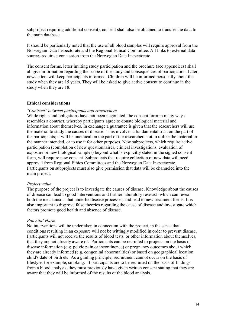subproject requiring additional consent), consent shall also be obtained to transfer the data to the main database.

It should be particularly noted that the use of all blood samples will require approval from the Norwegian Data Inspectorate and the Regional Ethical Committee. All links to external data sources require a concession from the Norwegian Data Inspectorate.

The consent forms, letter inviting study participation and the brochure (see appendices) shall all give information regarding the scope of the study and consequences of participation. Later, newsletters will keep participants informed. Children will be informed personally about the study when they are 15 years. They will be asked to give active consent to continue in the study when they are 18.

#### **Ethical considerations**

#### *"Contract" between participants and researchers*

While rights and obligations have not been negotiated, the consent form in many ways resembles a contract, whereby participants agree to donate biological material and information about themselves. In exchange a guarantee is given that the researchers will use the material to study the causes of disease. This involves a fundamental trust on the part of the participants; it will be unethical on the part of the researchers not to utilize the material in the manner intended, or to use it for other purposes. New subprojects, which require active participation (completion of new questionnaires, clinical investigations, evaluation of exposure or new biological samples) beyond what is explicitly stated in the signed consent form, will require new consent. Subprojects that require collection of new data will need approval from Regional Ethics Committees and the Norwegian Data Inspectorate. Participants on subprojects must also give permission that data will be channeled into the main project.

#### *Project value*

The purpose of the project is to investigate the causes of disease. Knowledge about the causes of disease can lead to good interventions and further laboratory research which can reveal both the mechanisms that underlie disease processes, and lead to new treatment forms. It is also important to disprove false theories regarding the cause of disease and investigate which factors promote good health and absence of disease.

#### *Potential Harm*

No interventions will be undertaken in connection with the project, in the sense that conditions resulting in an exposure will not be wittingly modified in order to prevent disease. Participants will not receive the results of blood tests, or other information about themselves, that they are not already aware of. Participants can be recruited to projects on the basis of disease information (e.g. pelvic pain or incontinence) or pregnancy outcomes about which they are already informed (e.g. congenital abnormalities) or based on geographical location, child's date of birth etc. As a guiding principle, recruitment cannot occur on the basis of lifestyle; for example, smoking. If participants are to be recruited on the basis of findings from a blood analysis, they must previously have given written consent stating that they are aware that they will be informed of the results of the blood analysis.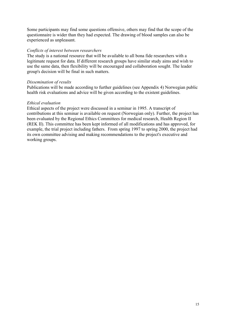Some participants may find some questions offensive, others may find that the scope of the questionnaire is wider than they had expected. The drawing of blood samples can also be experienced as unpleasant.

#### *Conflicts of interest between researchers*

The study is a national resource that will be available to all bona fide researchers with a legitimate request for data. If different research groups have similar study aims and wish to use the same data, then flexibility will be encouraged and collaboration sought. The leader group's decision will be final in such matters.

#### *Dissemination of results*

Publications will be made according to further guidelines (see Appendix 4) Norwegian public health risk evaluations and advice will be given according to the existent guidelines.

#### *Ethical evaluation*

Ethical aspects of the project were discussed in a seminar in 1995. A transcript of contributions at this seminar is available on request (Norwegian only). Further, the project has been evaluated by the Regional Ethics Committees for medical research, Health Region II (REK II). This committee has been kept informed of all modifications and has approved, for example, the trial project including fathers. From spring 1997 to spring 2000, the project had its own committee advising and making recommendations to the project's executive and working groups.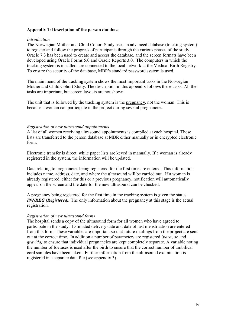#### **Appendix 1: Description of the person database**

#### *Introduction*

The Norwegian Mother and Child Cohort Study uses an advanced database (tracking system) to register and follow the progress of participants through the various phases of the study. Oracle 7.3 has been used to create and access the database, and the screen formats have been developed using Oracle Forms 5.0 and Oracle Reports 3.0. The computers in which the tracking system is installed, are connected to the local network at the Medical Birth Registry. To ensure the security of the database, MBR's standard password system is used.

The main menu of the tracking system shows the most important tasks in the Norwegian Mother and Child Cohort Study. The description in this appendix follows these tasks. All the tasks are important, but screen layouts are not shown.

The unit that is followed by the tracking system is the pregnancy, not the woman. This is because a woman can participate in the project during several pregnancies.

#### *Registration of new ultrasound appointments*

A list of all women receiving ultrasound appointments is compiled at each hospital. These lists are transferred to the person database at MBR either manually or in encrypted electronic form.

Electronic transfer is direct, while paper lists are keyed in manually. If a woman is already registered in the system, the information will be updated.

Data relating to pregnancies being registered for the first time are entered. This information includes name, address, date, and where the ultrasound will be carried out. If a woman is already registered, either for this or a previous pregnancy, notification will automatically appear on the screen and the date for the new ultrasound can be checked.

A pregnancy being registered for the first time in the tracking system is given the status *INNREG (Registered).* The only information about the pregnancy at this stage is the actual registration.

#### *Registration of new ultrasound forms*

The hospital sends a copy of the ultrasound form for all women who have agreed to participate in the study. Estimated delivery date and date of last menstruation are entered from this form. These variables are important so that future mailings from the project are sent out at the correct time. In addition a number of parameters are registered (*para*, *ab* and *gravida)* to ensure that individual pregnancies are kept completely separate. A variable noting the number of foetuses is used after the birth to ensure that the correct number of umbilical cord samples have been taken. Further information from the ultrasound examination is registered in a separate data file (see appendix 3).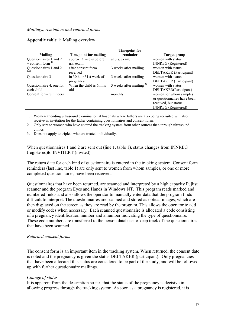|                          |                              | <b>Timepoint for</b>      |                               |
|--------------------------|------------------------------|---------------------------|-------------------------------|
| Mailing                  | <b>Timepoint for mailing</b> | reminder                  | Target group                  |
| Questionnaires 1 and 2   | approx. 3 weeks before       | at u.s. exam.             | women with status             |
| + consent form $^{1}$    | u.s. exam.                   |                           | <b>INNREG</b> (Registered)    |
| Questionnaires 1 and 2   | after consent form           | 3 weeks after mailing     | women with status             |
|                          | received                     |                           | <b>DELTAKER</b> (Participant) |
| Questionnaire 3          | in 30th or 31st week of      | 3 weeks after mailing     | women with status             |
|                          | pregnancy                    |                           | <b>DELTAKER</b> (Participant) |
| Questionnaire 4, one for | When the child is 6mths      | 3 weeks after mailing $3$ | women with status             |
| each child               | old                          |                           | DELTAKER(Participant)         |
| Consent form reminders   |                              | monthly                   | women for whom samples        |
|                          |                              |                           | or questionnaires have been   |
|                          |                              |                           | received, but status          |
|                          |                              |                           | <b>INNREG</b> (Registered)    |

#### **Appendix table 1:** Mailing overview

1. Women attending ultrasound examination at hospitals where fathers are also being recruited will also receive an invitation for the father containing questionnaires and consent form.

2. Only sent to women who have entered the tracking system from other sources than through ultrasound clinics.

3. Does not apply to triplets who are treated individually.

When questionnaires 1 and 2 are sent out (line 1, table 1), status changes from INNREG (registered)to INVITERT (invited)

The return date for each kind of questionnaire is entered in the tracking system. Consent form reminders (last line, table 1) are only sent to women from whom samples, or one or more completed questionnaires, have been received.

Questionnaires that have been returned, are scanned and interpreted by a high capacity Fujitsu scanner and the program Eyes and Hands in Windows NT. This program reads marked and numbered fields and also allows the operator to manually enter data that the program finds difficult to interpret. The questionnaires are scanned and stored as optical images, which are then displayed on the screen as they are read by the program. This allows the operator to add or modify codes when necessary. Each scanned questionnaire is allocated a code consisting of a pregnancy identification number and a number indicating the type of questionnaire. These code numbers are transferred to the person database to keep track of the questionnaires that have been scanned.

#### *Returned consent forms*

The consent form is an important item in the tracking system. When returned, the consent date is noted and the pregnancy is given the status DELTAKER (participant). Only pregnancies that have been allocated this status are considered to be part of the study, and will be followed up with further questionnaire mailings.

#### *Change of status*

It is apparent from the description so far, that the status of the pregnancy is decisive in allowing progress through the tracking system. As soon as a pregnancy is registered, it is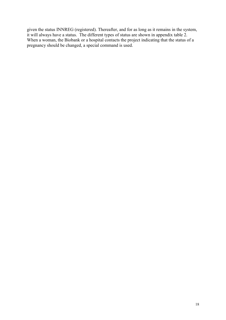given the status INNREG (registered). Thereafter, and for as long as it remains in the system, it will always have a status. The different types of status are shown in appendix table 2. When a woman, the Biobank or a hospital contacts the project indicating that the status of a pregnancy should be changed, a special command is used.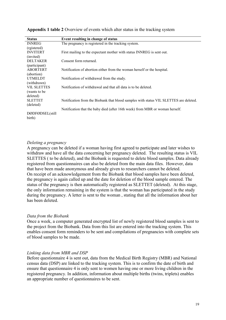| <b>Status</b>             | Event resulting in change of status                                                   |
|---------------------------|---------------------------------------------------------------------------------------|
| <b>INNREG</b>             | The pregnancy is registered in the tracking system.                                   |
| (rgistered)               |                                                                                       |
| <b>INVITERT</b>           | First mailing to the expectant mother with status INNREG is sent out.                 |
| (invited)                 |                                                                                       |
| <b>DELTAKER</b>           | Consent form returned.                                                                |
| (participant)             |                                                                                       |
| <b>ABORTERT</b>           | Notification of abortion either from the woman herself or the hospital.               |
| (abortion)                |                                                                                       |
| <b>UTMELDT</b>            | Notification of withdrawal from the study.                                            |
| (withdrawn)               |                                                                                       |
| <b>VIL SLETTES</b>        | Notification of withdrawal and that all data is to be deleted.                        |
| (wants to be              |                                                                                       |
| deleted)                  |                                                                                       |
| <b>SLETTET</b>            | Notification from the Biobank that blood samples with status VIL SLETTES are deleted. |
| (deleted)                 |                                                                                       |
|                           | Notification that the baby died (after 16th week) from MBR or woman herself.          |
| DØDFØDSEL(still<br>birth) |                                                                                       |

**Appendix 1 table 2** Overview of events which alter status in the tracking system

#### *Deleting a pregnancy*

A pregnancy can be deleted if a woman having first agreed to participate and later wishes to withdraw and have all the data concerning her pregnancy deleted. The resulting status is VIL SLETTES ( to be deleted), and the Biobank is requested to delete blood samples. Data already registered from questionnaires can also be deleted from the main data files. However, data that have been made anonymous and already given to researchers cannot be deleted. On receipt of an acknowledgement from the Biobank that blood samples have been deleted, the pregnancy is again called up and the date for deletion of the blood sample entered. The status of the pregnancy is then automatically registered as SLETTET (deleted). At this stage, the only information remaining in the system is that the woman has participated in the study during the pregnancy. A letter is sent to the woman , stating that all the information about her has been deleted.

#### *Data from the Biobank*

Once a week, a computer generated encrypted list of newly registered blood samples is sent to the project from the Biobank. Data from this list are entered into the tracking system. This enables consent form reminders to be sent and compilations of pregnancies with complete sets of blood samples to be made.

#### *Linking data from MBR and DSP*

Before questionnaire 4 is sent out, data from the Medical Birth Registry (MBR) and National census data (DSP) are linked to the tracking system. This is to confirm the date of birth and ensure that questionnaire 4 is only sent to women having one or more living children in the registered pregnancy. In addition, information about multiple births (twins, triplets) enables an appropriate number of questionnaires to be sent.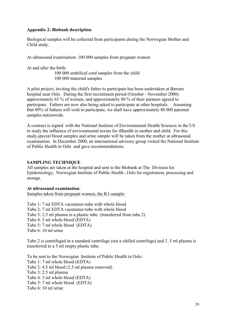#### **Appendix 2: Biobank description**

Biological samples will be collected from participants during the Norwegian Mother and Child study.

At ultrasound examination: 100 000 samples from pregnant women

At and after the birth:

100 000 umbilical cord samples from the child 100 000 maternal samples

A pilot project, inviting the child's father to participate has been undertaken at Bærum hospital near Oslo. During the first recruitment period (October - November 2000) approximately 65 % of women, and approximately 80 % of their partners agreed to participate. Fathers are now also being asked to participate at other hospitals. Assuming that 80% of fathers will wish to participate, we shall have approximately 80 000 paternal samples nationwide.

A contract is signed with the National Institute of Environmental Health Sciences in the US to study the influence of environmental toxins for illhealth in mother and child. For this study,special blood samples and urine sample will be taken from the mother at ultrasound examination. In December 2000, an international advisory group visited the National Institute of Public Health in Oslo and gave recommendations.

#### **SAMPLING TECHNIQUE**

All samples are taken at the hospital and sent to the Biobank at The Division for Epidemiology, Norwegian Institute of Public Health , Oslo for registration, processing and storage.

#### **At ultrasound examination**:

Samples taken from pregnant women, the K1-sample:

Tube 1: 7 ml EDTA vacutainer-tube with whole blood Tube 2: 7 ml EDTA vacutainer-tube with whole blood Tube 3: 2.5 ml plasma in a plastic tube (transferred from tube 2) Tube 4: 3 ml whole blood (EDTA) Tube 5: 7 ml whole blood (EDTA) Tube 6: 10 ml urine

Tube 2 is centrifuged in a standard centrifuge (not a chilled centrifuge) and 2 .5 ml plasma is transferred to a 5 ml empty plastic tube.

To be sent to the Norwegian Institute of Public Health in Oslo: Tube 1: 7 ml whole blood (EDTA) Tube 2: 4.5 ml blood (2.5 ml plasma removed) Tube 3: 2.5 ml plasma Tube 4: 3 ml whole blood (EDTA) Tube 5: 7 ml whole blood (EDTA) Tube 6: 10 ml urine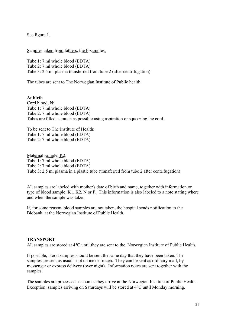See figure 1.

Samples taken from fathers, the F-samples:

Tube 1: 7 ml whole blood (EDTA) Tube 2: 7 ml whole blood (EDTA) Tube 3: 2.5 ml plasma transferred from tube 2 (after centrifugation)

The tubes are sent to The Norwegian Institute of Public health

**At birth** Cord blood, N: Tube 1: 7 ml whole blood (EDTA) Tube 2: 7 ml whole blood (EDTA) Tubes are filled as much as possible using aspiration or squeezing the cord.

To be sent to The Institute of Health: Tube 1: 7 ml whole blood (EDTA) Tube 2: 7 ml whole blood (EDTA)

Maternal sample, K2: Tube 1: 7 ml whole blood (EDTA) Tube 2: 7 ml whole blood (EDTA) Tube 3: 2.5 ml plasma in a plastic tube (transferred from tube 2 after centrifugation)

All samples are labeled with mother's date of birth and name, together with information on type of blood sample: K1, K2, N or F. This information is also labeled to a note stating where and when the sample was taken.

If, for some reason, blood samples are not taken, the hospital sends notification to the Biobank at the Norwegian Institute of Public Health.

#### **TRANSPORT**

All samples are stored at 4<sup>o</sup>C until they are sent to the Norwegian Institute of Public Health.

If possible, blood samples should be sent the same day that they have been taken. The samples are sent as usual - not on ice or frozen. They can be sent as ordinary mail, by messenger or express delivery (over night). Information notes are sent together with the samples.

The samples are processed as soon as they arrive at the Norwegian Institute of Public Health. Exception: samples arriving on Saturdays will be stored at 4°C until Monday morning.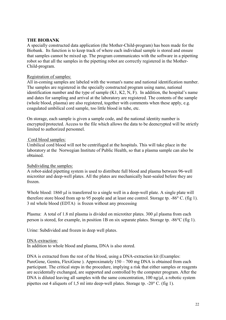#### **THE BIOBANK**

A specially constructed data application (the Mother-Child-program) has been made for the Biobank. Its function is to keep track of where each individual sample is stored and ensure that samples cannot be mixed up. The program communicates with the software in a pipetting robot so that all the samples in the pipetting robot are correctly registered in the Mother-Child-program.

#### Registration of samples:

All in-coming samples are labeled with the woman's name and national identification number. The samples are registered in the specially constructed program using name, national identification number and the type of sample (K1, K2, N, F). In addition, the hospital's name and dates for sampling and arrival at the laboratory are registered. The contents of the sample (whole blood, plasma) are also registered, together with comments when these apply, e.g. coagulated umbilical cord sample, too little blood in tube, etc.

On storage, each sample is given a sample code, and the national identity number is encrypted/protected. Access to the file which allows the data to be deencrypted will be strictly limited to authorized personnel.

#### Cord blood samples:

Umbilical cord blood will not be centrifuged at the hospitals. This will take place in the laboratory at the Norwegian Institute of Public Health, so that a plasma sample can also be obtained.

#### Subdividing the samples:

A robot-aided pipetting system is used to distribute full blood and plasma between 96-well microtiter and deep-well plates. All the plates are mechanically heat-sealed before they are frozen.

Whole blood: 1860 µl is transferred to a single well in a deep-well plate. A single plate will therefore store blood from up to 95 people and at least one control. Storage tp.  $-86^{\circ}$  C. (fig 1). 3 ml whole blood (EDTA) is frozen without any processing

Plasma: A total of 1.8 ml plasma is divided on microtiter plates. 300 µl plasma from each person is stored, for example, in position 1B on six separate plates. Storage tp. -86C (fig 1).

Urine: Subdivided and frozen in deep well plates.

#### DNA-extraction:

In addition to whole blood and plasma, DNA is also stored.

DNA is extracted from the rest of the blood, using a DNA-extraction kit (Examples: PureGene, Gentra, FlexiGene ). Approximately 150 – 700 mg DNA is obtained from each participant. The critical steps in the procedure, implying a risk that either samples or reagents are accidentally exchanged, are supported and controlled by the computer program. After the DNA is diluted leaving all samples with the same concentration,  $100 \text{ ng}/\mu$ l, a robotic system pipettes out 4 aliquots of 1.5 ml into deep-well plates. Storage tp.  $-20^{\circ}$  C. (fig 1).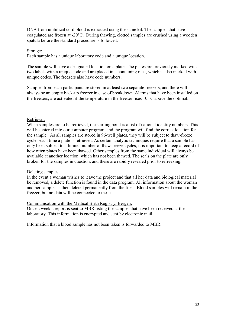DNA from umbilical cord blood is extracted using the same kit. The samples that have coagulated are frozen at -20C. During thawing, clotted samples are crushed using a wooden spatula before the standard procedure is followed.

#### Storage:

Each sample has a unique laboratory code and a unique location.

The sample will have a designated location on a plate. The plates are previously marked with two labels with a unique code and are placed in a containing rack, which is also marked with unique codes. The freezers also have code numbers.

Samples from each participant are stored in at least two separate freezers, and there will always be an empty back-up freezer in case of breakdown. Alarms that have been installed on the freezers, are activated if the temperature in the freezer rises  $10^{\circ}$ C above the optimal.

#### Retrieval:

When samples are to be retrieved, the starting point is a list of national identity numbers. This will be entered into our computer program, and the program will find the correct location for the sample. As all samples are stored in 96-well plates, they will be subject to thaw-freeze cycles each time a plate is retrieved. As certain analytic techniques require that a sample has only been subject to a limited number of thaw-freeze cycles, it is important to keep a record of how often plates have been thawed. Other samples from the same individual will always be available at another location, which has not been thawed. The seals on the plate are only broken for the samples in question, and these are rapidly resealed prior to refreezing.

#### Deleting samples:

In the event a woman wishes to leave the project and that all her data and biological material be removed, a delete function is found in the data program. All information about the woman and her samples is then deleted permanently from the files. Blood samples will remain in the freezer, but no data will be connected to these.

#### Communication with the Medical Birth Registry, Bergen:

Once a week a report is sent to MBR listing the samples that have been received at the laboratory. This information is encrypted and sent by electronic mail.

Information that a blood sample has not been taken is forwarded to MBR.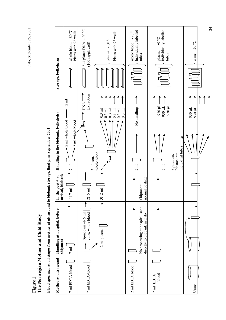Oslo, September 26, 2001 Oslo, September 26, 2001

> **Figure 1 The Norwegian Mother and Child Study**

Blood specimen at all stages from mother at ultrasound to biobank storage, final plan September 2001 **Blood specimen at all stages from mother at ultrasound to biobank storage, final plan September 2001**

| Storage, Folkehelsa                                 | whole blood - 80 °C<br>Plates with 96 wells                               | 2 -4 plates DNA - 20 $^{\circ}$ C<br>Plates with 96 wells<br>$\mathop{\rm {}�}\nolimits_{\rm {}^{^\circ}}$ 08 –<br>$(100 \n\underline{\text{ng}}/\mu\text{lycell})$<br>plasma<br>$\overline{P}$ | whole blood - 20 °C<br>Individually labelled<br>tubes          | Individually labelled<br>plasma - 80°C<br>tubes                                                                     | $\tilde{\cdot}$<br>$-20^{\circ}$ C<br>urine |
|-----------------------------------------------------|---------------------------------------------------------------------------|-------------------------------------------------------------------------------------------------------------------------------------------------------------------------------------------------|----------------------------------------------------------------|---------------------------------------------------------------------------------------------------------------------|---------------------------------------------|
| Handling in the biobank, Folkehelsa                 | $2 \text{ ml}$<br>2 ml whole blood<br>5 ml whole blood<br>$7\,\mathrm{m}$ | Extraction<br><b>DNA</b><br>$0.3$ ml<br>$0.3$ ml<br>$0.3$ ml<br>$0.3$ ml<br>$0.3$ ml<br>$\frac{1}{2}$<br>whole blood<br>5 ml conc.<br>$\frac{1}{2}$ ml                                          | No handling<br>$0.3$ ml<br>$2$ m $l$                           | 930 µL<br>930 µL<br>$1000$ $\mu$<br>individual tubes<br>Plasma into<br>Spindown,<br>$\overline{7}$ m $\overline{1}$ | 930 µL<br>930 µL                            |
| arrival, biobank<br>the $post + at$<br>$\mathbf{E}$ | $7 \, \mathrm{ml}$<br>$\begin{array}{c} \square \end{array}$              | $5 \text{ ml}$<br>$2 \text{ ml}$<br>$\widehat{\Omega}$<br>$\widehat{\epsilon}$                                                                                                                  | normal postage<br>Shipment:                                    |                                                                                                                     |                                             |
| Handling at hospital, before<br>shipment            | $7\,\mathrm{m}$                                                           | conc. whole blood<br>Spindown $\rightarrow$ 5 ml<br>2 ml plasma                                                                                                                                 | No processing at hospital, sent<br>directly to biobank in Oslo |                                                                                                                     |                                             |
| Mother at ultrasound                                | 7 ml EDTA-blood                                                           | 7 ml EDTA-blood                                                                                                                                                                                 | 2 ml EDTA blood                                                | blood<br>7 ml EDTA                                                                                                  | Urine                                       |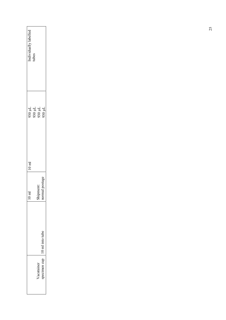| Individually labelled<br>tubes                          |              |  |  |
|---------------------------------------------------------|--------------|--|--|
| 130 µL<br>110 056<br>110 056                            |              |  |  |
| $10\ \mathrm{m}$                                        |              |  |  |
| Shipment:<br>normal postage<br>$\Xi$<br>$\overline{10}$ |              |  |  |
| 10 ml into tube                                         |              |  |  |
| Vacutainer                                              | specimen cup |  |  |
|                                                         |              |  |  |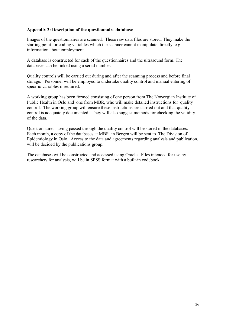#### **Appendix 3: Description of the questionnaire database**

Images of the questionnaires are scanned. These raw data files are stored. They make the starting point for coding variables which the scanner cannot manipulate directly, e.g. information about employment.

A database is constructed for each of the questionnaires and the ultrasound form. The databases can be linked using a serial number.

Quality controls will be carried out during and after the scanning process and before final storage. Personnel will be employed to undertake quality control and manual entering of specific variables if required.

A working group has been formed consisting of one person from The Norwegian Institute of Public Health in Oslo and one from MBR, who will make detailed instructions for quality control. The working group will ensure these instructions are carried out and that quality control is adequately documented. They will also suggest methods for checking the validity of the data.

Questionnaires having passed through the quality control will be stored in the databases. Each month, a copy of the databases at MBR in Bergen will be sent to The Division of Epidemiology in Oslo. Access to the data and agreements regarding analysis and publication, will be decided by the publications group.

The databases will be constructed and accessed using Oracle. Files intended for use by researchers for analysis, will be in SPSS format with a built-in codebook.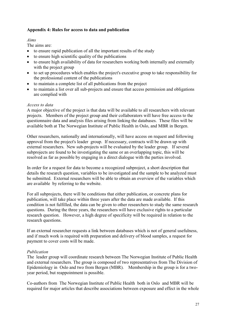#### **Appendix 4: Rules for access to data and publication**

#### *Aims*

The aims are:

- to ensure rapid publication of all the important results of the study
- $\bullet$  to ensure high scientific quality of the publications
- to ensure high availability of data for researchers working both internally and externally with the project group
- to set up procedures which enables the project's executive group to take responsibility for the professional content of the publications
- to maintain a complete list of all publications from the project
- to maintain a list over all sub-projects and ensure that access permission and obligations are complied with

#### *Access to data*

A major objective of the project is that data will be available to all researchers with relevant projects. Members of the project group and their collaborators will have free access to the questionnaire data and analysis files arising from linking the databases. These files will be available both at The Norwegian Institute of Public Health in Oslo, and MBR in Bergen.

Other researchers, nationally and internationally, will have access on request and following approval from the project's leader group. If necessary, contracts will be drawn up with external researchers. New sub-projects will be evaluated by the leader group. If several subprojects are found to be investigating the same or an overlapping topic, this will be resolved as far as possible by engaging in a direct dialogue with the parties involved.

In order for a request for data to become a recognized subproject, a short description that details the research question, variables to be investigated and the sample to be analyzed must be submitted. External researchers will be able to obtain an overview of the variables which are available by referring to the website.

For all subprojects, there will be conditions that either publication, or concrete plans for publication, will take place within three years after the data are made available. If this condition is not fulfilled, the data can be given to other researchers to study the same research questions. During the three years, the researchers will have exclusive rights to a particular research question. However, a high degree of specificity will be required in relation to the research questions.

If an external researcher requests a link between databases which is not of general usefulness, and if much work is required with preparation and delivery of blood samples, a request for payment to cover costs will be made.

#### *Publication*

The leader group will coordinate research between The Norwegian Institute of Public Health and external researchers. The group is composed of two representatives from The Division of Epidemiology in Oslo and two from Bergen (MBR). Membership in the group is for a twoyear period, but reappointment is possible.

Co-authors from The Norwegian Institute of Public Health both in Oslo and MBR will be required for major articles that describe associations between exposure and effect in the whole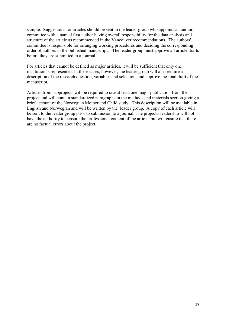sample. Suggestions for articles should be sent to the leader group who appoints an authors' committee with a named first author having overall responsibility for the data analysis and structure of the article as recommended in the Vancouver recommendations. The authors' committee is responsible for arranging working procedures and deciding the corresponding order of authors in the published manuscript. The leader group must approve all article drafts before they are submitted to a journal.

For articles that cannot be defined as major articles, it will be sufficient that only one institution is represented. In these cases, however, the leader group will also require a description of the research question, variables and selection, and approve the final draft of the manuscript.

Articles from subprojects will be required to cite at least one major publication from the project and will contain standardized paragraphs in the methods and materials section giving a brief account of the Norwegian Mother and Child study. This description will be available in English and Norwegian and will be written by the leader group. A copy of each article will be sent to the leader group prior to submission to a journal. The project's leadership will not have the authority to censure the professional content of the article, but will ensure that there are no factual errors about the project.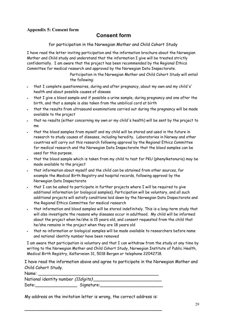#### **Appendix 5: Consent form**

#### **Consent form**

for participation in the Norwegian Mother and Child Cohort Study

I have read the letter inviting participation and the information brochure about the Norwegian Mother and Child study and understand that the information I give will be treated strictly confidentially. I am aware that the project has been recommended by the Regional Ethics Committee for medical research and approved by the Norwegian Data Inspectorate.

> Participation in the Norwegian Mother and Child Cohort Study will entail the following:

- that I complete questionnaires, during and after pregnancy, about my own and my child's' health and about possible causes of disease
- that I give a blood sample and if possible a urine sample, during pregnancy and one after the birth, and that a sample is also taken from the umbilical cord at birth
- that the results from ultrasound examinations carried out during the pregnancy will be made available to the project
- that no results (either concerning my own or my child's health) will be sent by the project to me
- that the blood samples from myself and my child will be stored and used in the future in research to study causes of diseases, including heredity. Laboratories in Norway and other countries will carry out this research following approval by the Regional Ethics Committee for medical research and the Norwegian Data Inspectorate that the blood samples can be used for this purpose.
- that the blood sample which is taken from my child to test for PKU (phenylketonuria) may be made available to the project
- that information about myself and the child can be obtained from other sources, for example the Medical Birth Registry and hospital records, following approval by the Norwegian Data Inspectorate
- that I can be asked to participate in further projects where I will be required to give additional information (or biological samples). Participation will be voluntary, and all such additional projects will satisfy conditions laid down by the Norwegian Data Inspectorate and the Regional Ethics Committee for medical research
- that information and blood samples will be stored indefinitely. This is a long-term study that will also investigate the reasons why diseases occur in adulthood. My child will be informed about the project when he/she is 15 years old, and consent requested from the child that he/she remains in the project when they are 18 years old
- that no information or biological samples will be made available to researchers before name and national identity number have been removed

I am aware that participation is voluntary and that I can withdraw from the study at any time by writing to the Norwegian Mother and Child Cohort Study, Norwegian Institute of Public Health, Medical Birth Registry, Kalfarveien 31, 5018 Bergen or telephone 22042718.

I have read the information above and agree to participate in the Norwegian Mother and Child Cohort Study.

| Name:                                |            |
|--------------------------------------|------------|
| National identity number (11digits). |            |
| Date:                                | Signature: |

My address on the invitation letter is wrong, the correct address is:

\_\_\_\_\_\_\_\_\_\_\_\_\_\_\_\_\_\_\_\_\_\_\_\_\_\_\_\_\_\_\_\_\_\_\_\_\_\_\_\_\_\_\_\_\_\_\_\_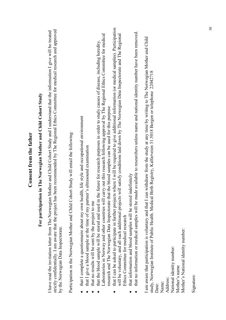| For participation in The Norwegian Mother and Child Cohort Study                                                                                                                                                                                                                                                                                                                             |
|----------------------------------------------------------------------------------------------------------------------------------------------------------------------------------------------------------------------------------------------------------------------------------------------------------------------------------------------------------------------------------------------|
| strictly confidentially. I am aware that the project has been recommended by The Regional Ethics Committee for medical research and approved<br>have read the invitation letter from The Norwegian Mother and Child Cohort Study and I understand that the information I give will be treated<br>by the Norwegian Data Inspectorate.                                                         |
| Participation in the Norwegian Mother and Child Cohort Study will entail the following:                                                                                                                                                                                                                                                                                                      |
| that I complete a questionnaire about my own health, life style and occupational environment<br>that I give a blood sample at the time of my partner's ultrasound examination<br>that no results will be sent by the project to me                                                                                                                                                           |
| carry out this research following approval by The Regional Ethics Committee for medical<br>that the blood sample will be stored and used in the future for research purposes in order to study causes of disease, including heredity.<br>research and The Norwegian Data Inspectorate that the blood samples can be used for this purpose<br>Laboratories in Norway and other countries will |
| that I can be asked to participate in further projects where I will be required to give additional information (or medical samples). Participation<br>will be voluntary, and all such additional projects will satisfy conditions laid down by The Norwegian Data Inspectorate and The Regional<br>Ethics Committee for medical research                                                     |
| ade available to researchers unless name and national identity number have been removed.<br>that information and blood samples will be stored indefinitely<br>that no information or medical samples will be m                                                                                                                                                                               |
| am aware that participation is voluntary and that I can withdraw from the study at any time by writing to The Norwegian Mother and Child<br>Birth Registry, Kalfarveien 31.5018 Bergen or telephone 22042718<br>study, Norwegian Institute of Public Health. Medical<br>Date:                                                                                                                |
| Address:<br>Name:                                                                                                                                                                                                                                                                                                                                                                            |
| National identity number:                                                                                                                                                                                                                                                                                                                                                                    |
| Mother's National identity number:<br>Mother's name                                                                                                                                                                                                                                                                                                                                          |

**Consent from the father**

Consent from the father

Signature: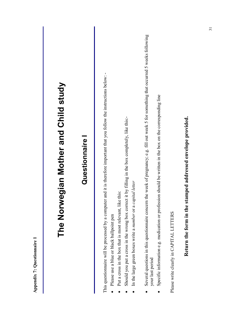| Appendix 7: Questionnaire                                                                                                                                                                                                                                                                                                                                                                                |
|----------------------------------------------------------------------------------------------------------------------------------------------------------------------------------------------------------------------------------------------------------------------------------------------------------------------------------------------------------------------------------------------------------|
| The Norwegian Mother and Child study                                                                                                                                                                                                                                                                                                                                                                     |
| Questionnaire                                                                                                                                                                                                                                                                                                                                                                                            |
| This questionnaire will be processed by a computer and it is therefore important that you follow the instructions below: -<br>by filling in the box completely, like this:-<br>In the large green boxes write a number or a capital letter<br>Put a cross in the box that is most relevant, like this:<br>Should you put a cross in the wrong box correct it<br>Please use a blue or black ballpoint pen |
| week of pregnancy; e.g. fill out week 5 for something that occurred 5 weeks following<br>should be written in the box on the corresponding line<br>Several questions in this questionnaire concern the<br>Specific information e.g. medication or profession<br>your last period<br>$\bullet$                                                                                                            |
| Please write clearly in CAPITAL LETTERS                                                                                                                                                                                                                                                                                                                                                                  |
| Return the form in the stamped addressed envelope provided.                                                                                                                                                                                                                                                                                                                                              |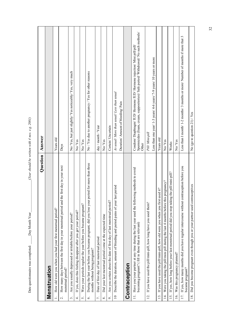|                          | Question                                                                                                                                               | Answer                                                                                                                                                                  |
|--------------------------|--------------------------------------------------------------------------------------------------------------------------------------------------------|-------------------------------------------------------------------------------------------------------------------------------------------------------------------------|
|                          | Menstruation                                                                                                                                           |                                                                                                                                                                         |
|                          | How old were you when you had your first menstrual period?                                                                                             | Years old                                                                                                                                                               |
| $\overline{\mathcal{L}}$ | How many days between the first day in your menstrual period and the first day in your next<br>menstrual period?                                       | Days                                                                                                                                                                    |
| $\dot{\phantom{1}}$      | Are you usually depressed or irritable before your period?                                                                                             | No/ Yes, but just slightly/ Yes noticeably/ Yes, very much                                                                                                              |
| 4.                       | If yes, does this feeling disappear after you get your period?                                                                                         | No/Yes                                                                                                                                                                  |
| S.                       | Were your periods regular the year before you became pregnant?                                                                                         | No/Yes                                                                                                                                                                  |
| Ġ.                       | During the last year before you became pregnant, did you lose your period for more than three<br>months without being pregnant?                        | No / Yes due to another pregnancy / Yes for other reasons                                                                                                               |
| 7.                       | Date of first day of last menstrual period                                                                                                             | day / month / Year                                                                                                                                                      |
| $\infty$                 | Did your last menstrual period come at the expected time                                                                                               | No/Yes                                                                                                                                                                  |
| o,                       | Are you certain about the date of first day of last menstrual period?                                                                                  | Certain/ Uncertain                                                                                                                                                      |
| $\overline{a}$           | Describe the duration, amount of bleeding and period pains of your last period                                                                         | As usual/More than usual/Less than usual                                                                                                                                |
|                          |                                                                                                                                                        | Duration/Amount of bleeding/Pain                                                                                                                                        |
|                          | Contraception                                                                                                                                          |                                                                                                                                                                         |
|                          | 11. Have you/your partner at any time during the last year used the following methods to avoid<br>becoming pregnant? (fill in those that are relevant) | Spermicides (foam, cream, suppositories)/ Safe period/ Withdrawal/ No such methods/<br>Condom/ Diaphragm/ IUD/ Hormone IUD/ Hormone injection/ Mini pill/pill/<br>Other |
| $\vec{c}$                | If you have used the pill/mini-pill, how long have you used them?                                                                                      | Pill/Mini-pill                                                                                                                                                          |
|                          |                                                                                                                                                        | Less than one year/ 1-3 years/ 4-6 years/ 7-9 years/ 10 years or more                                                                                                   |
| $\overline{13}$ .        | If you have used the pill/mini-pill, how old were you when you first used it?                                                                          | Years old                                                                                                                                                               |
| $\overline{4}$ .         | Were you taking the pill/mini pill during the last 4 months before this pregnancy?                                                                     | No/Yes                                                                                                                                                                  |
| $\overline{5}$ .         | the pill/mini-pill?<br>If yes, how long before your last menstrual period did you stop taking                                                          | Weeks                                                                                                                                                                   |
| $\overline{16}$          | Was this pregnancy planned?                                                                                                                            | No/Yes                                                                                                                                                                  |
| 17.                      | If yes, how many months did you have regular intercourse without contraception before you<br>became pregnant?                                          | Less than I month/1-2 months/3 months or more/Number of months if more that 3                                                                                           |
| 18.                      | Did you become pregnant even though you or your partner used contraceptives                                                                            | No (go to question 21) / Yes                                                                                                                                            |

 $(Xear should be written with 4 nos. e.g. 2001)$ Date questionnaire was completed: \_\_\_\_\_Day Month Year\_\_\_\_\_\_\_\_\_\_\_\_\_\_\_\_\_\_\_(*Year should be written with 4 nos. e.g. 2001)*

 $\Box$ Day Month Year

Date questionnaire was completed: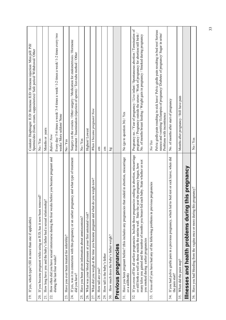| If yes, which type? (fill in more than one if applicable)<br>$\overline{19}$ .                                                                                                                                                                                                                                                                                   | Condom/Diaphragm/IUD/HormoneIUD/Hormone injection/Mini pill/Pill/<br>Spermicides (foam, cream, suppositories)/ Safe period/ Withdrawal/ Other                                                                                                                           |
|------------------------------------------------------------------------------------------------------------------------------------------------------------------------------------------------------------------------------------------------------------------------------------------------------------------------------------------------------------------|-------------------------------------------------------------------------------------------------------------------------------------------------------------------------------------------------------------------------------------------------------------------------|
| $\tilde{c}$<br>If you became pregnant while using an IUD, has it now been removed<br>20.                                                                                                                                                                                                                                                                         | No/Yes                                                                                                                                                                                                                                                                  |
| How long have you and the baby's father had a sexual relationship?<br>21.                                                                                                                                                                                                                                                                                        | Months or years                                                                                                                                                                                                                                                         |
| How often did you have sexual intercourse during the four weeks before you became pregnant and<br>during the last four weeks?<br>22.                                                                                                                                                                                                                             | Every day/ 5-6 times a week/ 3-4 times a week/ 1-2 times a week/ 1-2 times every two<br>weeks/More seldom/None<br>Before/Now                                                                                                                                            |
| Have you ever been treated for infertility?<br>23.                                                                                                                                                                                                                                                                                                               | No / Yes                                                                                                                                                                                                                                                                |
| If yes, was it in connection with this pregnancy or an earlier pregnancy and what type of treatment<br>did you have?<br>24.                                                                                                                                                                                                                                      | Surgery on the ovaries / Other surgery / Medication for endometriosis / Hormone<br>treatment / Insemination (injection of sperm) / Test-tube method / Other                                                                                                             |
| Have you been given information about amniocentesis?<br>25.                                                                                                                                                                                                                                                                                                      | No/Yes                                                                                                                                                                                                                                                                  |
| What was your blood pressure at your first antenatal visit?<br>26.                                                                                                                                                                                                                                                                                               | Highest/Lowest                                                                                                                                                                                                                                                          |
| What did you weigh at the time you became pregnant and what do you weigh now?<br>27.                                                                                                                                                                                                                                                                             | When I became pregnant/Now                                                                                                                                                                                                                                              |
| How tall are you?<br>28.                                                                                                                                                                                                                                                                                                                                         | $\overline{5}$                                                                                                                                                                                                                                                          |
| How tall is the baby's father<br>29.                                                                                                                                                                                                                                                                                                                             | $\epsilon$                                                                                                                                                                                                                                                              |
| How much does the baby's father weigh?<br>30.                                                                                                                                                                                                                                                                                                                    | $\overline{\mathbf{g}}$                                                                                                                                                                                                                                                 |
| Previous pregnancies                                                                                                                                                                                                                                                                                                                                             |                                                                                                                                                                                                                                                                         |
| Have you been pregnant before? (this includes any pregnancies that ended in abortion, miscarriage<br>or a stillbirth)<br>31.                                                                                                                                                                                                                                     | No (go to question 36) / Yes                                                                                                                                                                                                                                            |
| If yes cross off for all earlier pregnancies. Include those pregnancies ending in abortion, miscarriage<br>baby. State whether or not<br>or still birth as well as those outside the uterine wall. State the year the pregnancy began, how<br>many kilos you gained and the number of months you breast-fed each<br>you smoked during earlier pregnancies<br>32. | Pregnancy no. / Year of pregnancy / Live infant / Spontaneous abortion / Termination of<br>pregnancy / Pregnancy outside the uterus / Week of pregnancy for abortion/still birth /<br>No. of months breast feeding / Weight gain in pregnancy / Smoked during pregnancy |
| Cross off if you have had any of the following problems in previous pregnancies<br>33.                                                                                                                                                                                                                                                                           | No/Yes                                                                                                                                                                                                                                                                  |
|                                                                                                                                                                                                                                                                                                                                                                  | Pelvic girdle pain resulting in sick leave/ Pelvic girdle pain resulting in bed rest/ Serious<br>nausea and vomiting/ Eclampsia of pregnancy/ Diabetes of pregnancy/ Sugar in urine/<br>Problems with incontinence                                                      |
| If you had pelvic girdle pain in a previous pregnancy, which led to bed rest or sick leave, when did<br>the pain start?<br>34.                                                                                                                                                                                                                                   | No. of months after start of pregnancy                                                                                                                                                                                                                                  |
| When did the pain stop?<br>35.                                                                                                                                                                                                                                                                                                                                   | Months after pregnancy / Still have pain                                                                                                                                                                                                                                |
| Illnesses and health problems during this pregnancy                                                                                                                                                                                                                                                                                                              |                                                                                                                                                                                                                                                                         |
| Have you had bleeding from the vagina once or more during this pregnancy?<br>36.                                                                                                                                                                                                                                                                                 | No / Yes                                                                                                                                                                                                                                                                |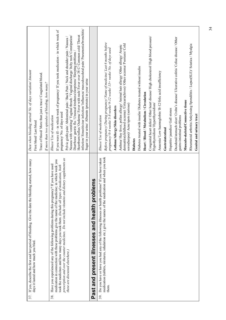| bleeding started, how many<br>If yes, describe the first and last period of bleeding. Give the date the<br>37.                                                                              | Date when bleeding started/No. of days variation/ Amount                                                                                                                                                                                                                                                       |
|---------------------------------------------------------------------------------------------------------------------------------------------------------------------------------------------|----------------------------------------------------------------------------------------------------------------------------------------------------------------------------------------------------------------------------------------------------------------------------------------------------------------|
| days it lasted and how much you bled.                                                                                                                                                       | First bleed/Last bleed                                                                                                                                                                                                                                                                                         |
|                                                                                                                                                                                             | Trace of blood/ More than just a trace/ Coagulated blood.                                                                                                                                                                                                                                                      |
|                                                                                                                                                                                             | If more than two episodes of bleeding, how many?                                                                                                                                                                                                                                                               |
| Have you experienced any of the following problems during this pregnancy? If you have used<br>38.                                                                                           | Illness/ Use of medication                                                                                                                                                                                                                                                                                     |
| medication in connection with these problems give the name of the medicine; in which week you<br>took the medicines and how many days you took them. (Include all types of medication, both | If you were ill - in which week of pregnancy/ If you took medication - in which week of<br>pregnancy/No. of days used                                                                                                                                                                                          |
| prescription and over the counter medicines. Do not include vitamins and dietary supplements as<br>these are discussed elsewhere.)                                                          | Pelvic girdle pain/ Abdominal pain / Back Pain / Neck and shoulder pain / Nausea /                                                                                                                                                                                                                             |
|                                                                                                                                                                                             | Nausea with vomiting/Vaginal thrush / Vaginal discharge/Itchy rash/Constipation/                                                                                                                                                                                                                               |
|                                                                                                                                                                                             | infection/Sinusitis/ear infection/ Influenza/ musculosceletal pain/ Pneumonia/bronchitis/<br>Heartburn/reflux/Oederna/Fever with rash/Fever over 38 C/Common cold/Throat<br>Diarrhoea/ gastric flu / Unusual tiredness/sleepiness/ Sleeping problems /<br>Sugar in your urine/ Albumin (protein) in your urine |
|                                                                                                                                                                                             |                                                                                                                                                                                                                                                                                                                |
| problems<br>and health<br>present illnesses<br>Past and                                                                                                                                     |                                                                                                                                                                                                                                                                                                                |
| problems? If you have taken<br>Do you have or have you had any of the following illnesses or health<br>39.                                                                                  | Illness/ Use of medication                                                                                                                                                                                                                                                                                     |
| medication (tablets, mixtures, inhalation etc.) give the names of the medication and when you took<br>them.                                                                                 | Before pregnancy/ During pregnancy/ Name of medicine/ Last 6 months before                                                                                                                                                                                                                                     |
|                                                                                                                                                                                             | pregnancy/ 0-4 weeks/ 5-8 weeks/ 9-12 weeks/ 13+ weeks/ No. of days used                                                                                                                                                                                                                                       |
|                                                                                                                                                                                             | Asthma/Allergy/Skin disorders                                                                                                                                                                                                                                                                                  |
|                                                                                                                                                                                             | dermatitis(childhood eczema) /Urticaria(hives)/ Other eczema/ Psoriasis/ Cold<br>Asthma/ Hay fever, pollen allergy/ Animal hair allergy/ Other allergy/ Atopic                                                                                                                                                 |
|                                                                                                                                                                                             | sores(herpes)/ Acne/spots (serious)                                                                                                                                                                                                                                                                            |
|                                                                                                                                                                                             | <b>Diabetes</b>                                                                                                                                                                                                                                                                                                |
|                                                                                                                                                                                             | Diabetes treated with insulin/ Diabetes treated without insulin                                                                                                                                                                                                                                                |
|                                                                                                                                                                                             | Heart / Blood / Metabolism / Circulation                                                                                                                                                                                                                                                                       |
|                                                                                                                                                                                             | Congenital heart defect/Other heart disease/ High cholesterol/ High blood pressure/<br>Hypothyroidism/Hyperthyroidism/                                                                                                                                                                                         |
|                                                                                                                                                                                             | Anaemia/ Low haemoglobin/ B-12/folic acid insufficiency                                                                                                                                                                                                                                                        |
|                                                                                                                                                                                             | Gastrointestinal                                                                                                                                                                                                                                                                                               |
|                                                                                                                                                                                             | Hepatitis/jaundice/Gall stones                                                                                                                                                                                                                                                                                 |
|                                                                                                                                                                                             | Duodenal/stomach ulcer/ Crohn's disease/ Ulcerative colitis/ Celiac disease / Other                                                                                                                                                                                                                            |
|                                                                                                                                                                                             | gastro-intestinal problems                                                                                                                                                                                                                                                                                     |
|                                                                                                                                                                                             | Musculo-skeletal/Connective tissue                                                                                                                                                                                                                                                                             |
|                                                                                                                                                                                             | Rheumatoid arthritis/Ankylosing Spondilitis / Lupus(SLE)/ Sciatica / Myalgia                                                                                                                                                                                                                                   |
|                                                                                                                                                                                             | Genital and urinary tract                                                                                                                                                                                                                                                                                      |
|                                                                                                                                                                                             |                                                                                                                                                                                                                                                                                                                |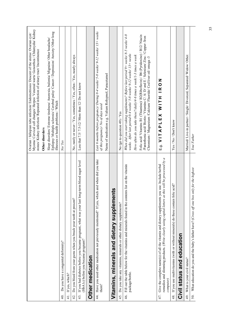|                                                                                                                                                                                                                            | Myoma/ Cervical cell changes/ Herpes/ Venereal warts/ Gonorrhea / Chlamydia/ Kidney<br>Ovarian / fallopian tube infection/ Endometriosis/ Descent of the uterus/ Ovarian cyst/<br>stones/ Kidney infection/ Repeated infection of urinary tract/ Incontinence                                                                                                                                                                                                                   |
|----------------------------------------------------------------------------------------------------------------------------------------------------------------------------------------------------------------------------|---------------------------------------------------------------------------------------------------------------------------------------------------------------------------------------------------------------------------------------------------------------------------------------------------------------------------------------------------------------------------------------------------------------------------------------------------------------------------------|
|                                                                                                                                                                                                                            | Other disorders                                                                                                                                                                                                                                                                                                                                                                                                                                                                 |
|                                                                                                                                                                                                                            | Epilepsy/ Multiple sclerosis/ Cerebral palsy/ Cancer / Depression/ Anxiety/ Other long<br>Sleep disorders/ Extreme tiredness/ Anorexia, bulemia/ Migraine/ Other headache/<br>illnesses or health problems / Which                                                                                                                                                                                                                                                              |
| Do you have a congenital deformity?<br>$\frac{1}{4}$                                                                                                                                                                       | No/Yes                                                                                                                                                                                                                                                                                                                                                                                                                                                                          |
| If yes, which?<br>$\frac{1}{4}$                                                                                                                                                                                            |                                                                                                                                                                                                                                                                                                                                                                                                                                                                                 |
| Do you bleed from your gums when you brush your teeth at present?<br>42.                                                                                                                                                   | No, rarely or never / Yes, sometimes / Yes, often / Yes, nearly always                                                                                                                                                                                                                                                                                                                                                                                                          |
| 43. If you had diabetes before you became pregnant, what was your last long-term blood sugar level<br>(HbA1c) before you became pregnant?                                                                                  | Less that 7.5/7.5-12/ More than 12/ Do not know                                                                                                                                                                                                                                                                                                                                                                                                                                 |
| Other medication                                                                                                                                                                                                           |                                                                                                                                                                                                                                                                                                                                                                                                                                                                                 |
| 44. Have you used other medication not previously mentioned? If yes, which and when did you take<br>them?                                                                                                                  | Last 6 months before pregnancy/ During 0-4 weeks/ 5-8 weeks/ 9-12 weeks/ 13+ weeks<br>Name of medication e.g. Valium Rohypnol, Paracetamol<br>of this pregnancy/No of days used                                                                                                                                                                                                                                                                                                 |
| nts<br>Vitamins, minerals and dietary suppleme                                                                                                                                                                             |                                                                                                                                                                                                                                                                                                                                                                                                                                                                                 |
| Do you take any vitamins, minerals or other dietary supplements?<br>45.                                                                                                                                                    | No (go to question $49$ ) / Yes                                                                                                                                                                                                                                                                                                                                                                                                                                                 |
| Fill out the table below for the vitamins and minerals found in the contents list on the vitamin<br>package/bottle.<br>$\frac{46}{5}$                                                                                      | When did you start taking supplements? Before last period $9+$ weeks/8-5 weeks/4-0<br>Folic acid/Vitamins B1 (Thiamine)/ B2(Riboflavin) / B6 (Pyridoxine) / B12/ Niacin<br>/Pantothenic acid/ Biotin / Vitamins C/ A/ D/ and E / Selenium/ Zinc / Copper /Iron<br>weeks. After last period 0-4 weeks/5-8 weeks/9-12 weeks/13+ weeks<br>How often do you take these?/daily/4-6 times a week/1-3 times a week<br>Chromium / Magnesium /Calcium/ Fluoride/ Cod liver oil/ omega -3 |
| remedies and slimming products. (Write clearly using capital letters as this will be processed by a<br>you use. Include herbal<br>Give the complete name(s) of all the vitamin and dietary supplements<br>computer)<br>47. | NO<br>NO<br>HILM<br>VITAPLEX<br>க்<br>ப                                                                                                                                                                                                                                                                                                                                                                                                                                         |
| olic acid?<br>If you use multivitamins (with or without minerals) do these contain<br>48.                                                                                                                                  | Yes / No / Don't know                                                                                                                                                                                                                                                                                                                                                                                                                                                           |
| Civil status and education                                                                                                                                                                                                 |                                                                                                                                                                                                                                                                                                                                                                                                                                                                                 |
| What is your civil status?<br>$\frac{49}{4}$                                                                                                                                                                               | Married/Live-in partner / Single/ Divorced, Separated/Widow/Other.                                                                                                                                                                                                                                                                                                                                                                                                              |
| What education do you and the baby's father have? (Cross off one box only for the highest<br>50.                                                                                                                           | You/Father                                                                                                                                                                                                                                                                                                                                                                                                                                                                      |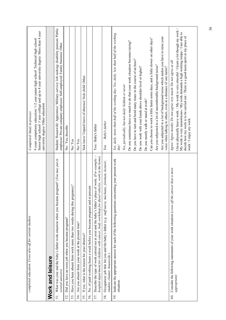|     | completed education. Cross also off for current studies)                                                                                                                                                   | 9 years compulsory education/ 1-2 year junior high school/ Technical high school/<br>Completed/Study in process                                                                                                                                                                                  |
|-----|------------------------------------------------------------------------------------------------------------------------------------------------------------------------------------------------------------|--------------------------------------------------------------------------------------------------------------------------------------------------------------------------------------------------------------------------------------------------------------------------------------------------|
|     |                                                                                                                                                                                                            | Senior high school/3 year college and up to 4 year university degree/ More than 4 year<br>university degree/ Other education                                                                                                                                                                     |
|     | Work and leisure                                                                                                                                                                                           |                                                                                                                                                                                                                                                                                                  |
| 51. | e pregnant? (You may put in<br>What was your and the baby's father work situation when you becam<br>several answers)                                                                                       | Student/Housewife/Apprentice/Military service/Job seeking/disability pension/Public<br>employee/ Private company employee/ Self-employed/ Family business/ Other                                                                                                                                 |
| 52. | Did you have an extra job when you became pregnant?                                                                                                                                                        | No/Yes, describe                                                                                                                                                                                                                                                                                 |
| 53. | egnancy?<br>Have you been absent from work more than two weeks during this pr                                                                                                                              | No/Yes                                                                                                                                                                                                                                                                                           |
| 54. | Are you absent from your work at the present time?                                                                                                                                                         | No/Yes                                                                                                                                                                                                                                                                                           |
| 55. | If yes, what is the reason for your absence?                                                                                                                                                               | Sick leave/ Unpaid leave of absence/ Sick child/ Other.                                                                                                                                                                                                                                          |
| 56. | : present.<br>No. of paid working hours a week before you became pregnant and at                                                                                                                           |                                                                                                                                                                                                                                                                                                  |
| 57. | Describe the type of work carried out at your and the baby's father's place of work. (For example :-<br>hospital department for children with cancer, body workshop for diesel vehicles, work in the home) | You / Baby's father                                                                                                                                                                                                                                                                              |
| 58. | Occupation/job title for you and the baby's father (e.g. staff nurse, mechanic, foreman, lecturer,<br>student, cleaner, housewife)                                                                         | Baby's father<br>You                                                                                                                                                                                                                                                                             |
| 59. | Indicate the appropriate answer for each of the following questions concerning your present work<br>situation.                                                                                             | Yes, daily, more than half of the working day/Yes, daily, less than half of the working<br>dav/                                                                                                                                                                                                  |
|     |                                                                                                                                                                                                            | Yes, periodically, but not daily/Seldom or never                                                                                                                                                                                                                                                 |
|     |                                                                                                                                                                                                            | Do you sometimes have so much to do that your work situation becomes taxing?                                                                                                                                                                                                                     |
|     |                                                                                                                                                                                                            | Do you have to turn and bend many times in the course of an hour?                                                                                                                                                                                                                                |
|     |                                                                                                                                                                                                            | Do you work with your hands above shoulder level or higher?                                                                                                                                                                                                                                      |
|     |                                                                                                                                                                                                            | Do you mostly walk or stand at work?                                                                                                                                                                                                                                                             |
|     |                                                                                                                                                                                                            | Can you choose to work a little faster some days, and a little slower on other days?                                                                                                                                                                                                             |
|     |                                                                                                                                                                                                            | Are you subjected to a lot of uncomfortable background noise?                                                                                                                                                                                                                                    |
|     |                                                                                                                                                                                                            | Are you subjected to a lot of background noise which makes you have to raise your<br>voice when talking to others, even at a distance of one metre?                                                                                                                                              |
| 60. | e answer that is most<br>Consider the following statements of your work situation (cross off the                                                                                                           | Agree/ Agree mostly/Do not agree very much/Do not agree at all                                                                                                                                                                                                                                   |
|     | <i>appropriate</i>                                                                                                                                                                                         | I have physically heavy work. / My work is very stressful / I learn a lot though my work /<br>My work is very monotonous / My work demands a high working tempo / I am able to<br>decide how my work is to be carried out / There is a good team spirit at my place of<br>work / I enjoy my work |
|     |                                                                                                                                                                                                            |                                                                                                                                                                                                                                                                                                  |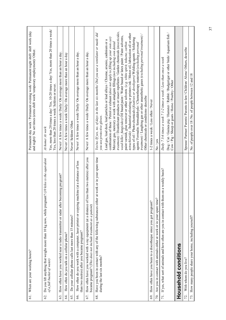| 61.               | When are your working hours?                                                                                                                                        | Permanent day work / Permanent evening work/ Permanent night shift/shift work (day<br>and night)/ No set times (extra shift work/ temporary employment)/ Other.                                                                                                                                                                                                                                                                                                                                                                                                                                                                                                                                                                                                                                                                                                                                                                                                                                                                |
|-------------------|---------------------------------------------------------------------------------------------------------------------------------------------------------------------|--------------------------------------------------------------------------------------------------------------------------------------------------------------------------------------------------------------------------------------------------------------------------------------------------------------------------------------------------------------------------------------------------------------------------------------------------------------------------------------------------------------------------------------------------------------------------------------------------------------------------------------------------------------------------------------------------------------------------------------------------------------------------------------------------------------------------------------------------------------------------------------------------------------------------------------------------------------------------------------------------------------------------------|
| 62.               | Do you lift anything that weighs more than 10 kg now, while pregnant? (10 kilos is the equivalent<br>of a full bucket of water)                                     | Yes, more than 20 times a day/Yes, 10-20 times a day/Yes, more than 20 times a week/<br>Yes, less than 20 times a week/ Seldom or never.<br>At home/ At work                                                                                                                                                                                                                                                                                                                                                                                                                                                                                                                                                                                                                                                                                                                                                                                                                                                                   |
| 63.               | How often have you worked near a radio transmitter or radar after becoming pregnant?                                                                                | Never/ A few times a week/ Daily/ On average more than an hour a day.                                                                                                                                                                                                                                                                                                                                                                                                                                                                                                                                                                                                                                                                                                                                                                                                                                                                                                                                                          |
| Ŝ.                | How often du you talk on a cellular phone?                                                                                                                          | Never/ A few times a week/ Daily/ On average more than an hour a day                                                                                                                                                                                                                                                                                                                                                                                                                                                                                                                                                                                                                                                                                                                                                                                                                                                                                                                                                           |
| 65.               | Do your cellular phone calls last more than 15 minutes?                                                                                                             | Never/Seldom/Often                                                                                                                                                                                                                                                                                                                                                                                                                                                                                                                                                                                                                                                                                                                                                                                                                                                                                                                                                                                                             |
| 66.               | How often do you work with a computer, laser printer or copying machine (at a distance of less<br>than two metres) after you became pregnant?                       | Never/ A few times a week/ Daily/ On average more than an hour a day.                                                                                                                                                                                                                                                                                                                                                                                                                                                                                                                                                                                                                                                                                                                                                                                                                                                                                                                                                          |
| 67.               | How often have you worked with x-ray equipment (at a distance of less than two metres) after you<br>became pregnant? (This does not include treatment as a patient) | Never/ A few times a week/ Daily/ On average more than an hour a day.                                                                                                                                                                                                                                                                                                                                                                                                                                                                                                                                                                                                                                                                                                                                                                                                                                                                                                                                                          |
| 69.               | How often have you been to a discotheque since you got pregnant?<br>during the last six months?                                                                     | treatment) / Disinfectant products or insect repellents / Garden chemicals (insecticides,<br>tetrachloride) /Industrial colouring or printers ink / Motor oil, lubrication oil or other<br><i>treatment</i> ) / Laughing gas or other anaesthetic gases (excluding personal treatment) /<br>weed killer, fungicides) Oil based paint / Water based or latex paint / Paint solvents,<br>combination of these / Petrol or exhaust (does not apply to filling up your own car)<br>types of oil / Photo-chemicals (fixatives or developers) Welding agents / Soldering<br>Lead gas, lead dust, lead particles or lead alloys / Chrome, arsenic, cadmium or a<br>Mercury gas, mercury or work with amalgam fillings (not including own dental<br>paint varnish, glue remover or other solvents (e.g. white spirit, toluene, carbon<br>agents/ Formalin /formaldehyde / Chemotherapy materials (excluding personal<br>Other chemicals or conditions- describe<br>1-2 times a week / Less often / Never<br>you use protective gloves. |
| 70.               | Are you in contact with animals either at work or in your spare time?                                                                                               | No / yes                                                                                                                                                                                                                                                                                                                                                                                                                                                                                                                                                                                                                                                                                                                                                                                                                                                                                                                                                                                                                       |
| $\overline{71}$ . | If yes, what sort of animals and how often are you in contact with them on a weekly basis?                                                                          | Dog / Cat / Guinea pig / Hamster / Rabbit / Budgerigar or other birds/ Aquarium fish /<br>Daily 7 3-6 times a week 7 1-2 times a week / Less than once a week<br>Cow / Pig / Sheep or goats / Horse / Poultry / Other                                                                                                                                                                                                                                                                                                                                                                                                                                                                                                                                                                                                                                                                                                                                                                                                          |
|                   | Household conditions                                                                                                                                                |                                                                                                                                                                                                                                                                                                                                                                                                                                                                                                                                                                                                                                                                                                                                                                                                                                                                                                                                                                                                                                |
| 72.               | With whom do you live?                                                                                                                                              | Spouse/ Partner/ Parents/ Parents-in-law/ Children/ Alone/ Others, describe                                                                                                                                                                                                                                                                                                                                                                                                                                                                                                                                                                                                                                                                                                                                                                                                                                                                                                                                                    |
| 73.               | How many people share your home, including yourself?                                                                                                                | No. of people over 18 /No. of people between 12 and 18                                                                                                                                                                                                                                                                                                                                                                                                                                                                                                                                                                                                                                                                                                                                                                                                                                                                                                                                                                         |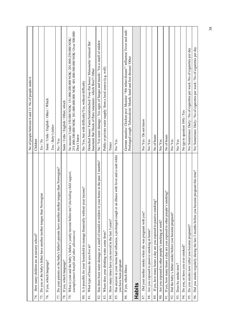|                                                                                                                                               | No of people between 6 and 11/No of people under 6                                                                                                                 |
|-----------------------------------------------------------------------------------------------------------------------------------------------|--------------------------------------------------------------------------------------------------------------------------------------------------------------------|
| How many children are at nursery school?<br>74.                                                                                               | Children                                                                                                                                                           |
| ian<br>Do you or the baby's father have another mother tongue than Norwegi<br>75.                                                             | Yes / No                                                                                                                                                           |
| If yes, which language?<br>76.                                                                                                                | Sami / Urdu / English / Other / Which                                                                                                                              |
|                                                                                                                                               | You / Baby's father                                                                                                                                                |
| gue than Norwegian?<br>Do your parents or the baby's father's parents have another mother ton<br>77.                                          | No/Yes                                                                                                                                                             |
| If yes, which language?<br>78.                                                                                                                | Sami / Urdu / English / Other, which                                                                                                                               |
| What is your and the baby's father's yearly income before tax? (Including child support,<br>unemployment benefit and other allowances)<br>79. | 251.000-300.000 NOK/301.000-400.000 NOK/401.000-500.000 NOK/Over 500.000/<br>No income/ Under 150.000 NOK/ 151.000-200.000 NOK/ 201.000-250.000 NOK/<br>Don't know |
| Is it possible for your household to manage financially without your income?<br>80.                                                           | No/Yes, but with difficulty/Yes, without difficulty                                                                                                                |
| What type of house do you live in?<br>81.                                                                                                     | Detached house/ Farm/Semidetached/ Four-flat house/ Maisonette/ terraced flat/<br>basement flat/ block of flats/ tenement - which floor?/ Other                    |
| Has there been water damage or a smell of mould or mildew in your home in the past 3 months?<br>82.                                           | No / Yes water damage / Yes signs of fungus and mould / Yes a smell of mildew                                                                                      |
| Where does your drinking water come from?<br>83.                                                                                              | Public or private water supply/ from a local source (e.g. well)                                                                                                    |
| How many times have you moved in the last 3 years?<br>84.                                                                                     | Times                                                                                                                                                              |
| Has anyone in your home had influenza, a prolonged cough or an illness with fever and a rash while<br>you have been pregnant<br>85.           | No/Yes                                                                                                                                                             |
| If yes, which illness<br>86.                                                                                                                  | German measles/ Chicken pox/ Measles/ "4th infant disease"/ influenza/ Fever and rash/<br>Prolonged cough/Tuberculosis/Mouth, hand and foot disease/Other          |
| Habits                                                                                                                                        |                                                                                                                                                                    |
| Did your mother smoke when she was pregnant with you?<br>87.                                                                                  | No/Yes / Do not know                                                                                                                                               |
| Are you exposed to passive smoking at home?<br>88.                                                                                            | No/Yes                                                                                                                                                             |
| If yes, how many hours a day are you exposed to passive smoking?<br>89.                                                                       | No of hours                                                                                                                                                        |
| Are you exposed to other people's smoking at work?<br>90.                                                                                     | No/Yes                                                                                                                                                             |
| If yes, how many hours a day are you exposed to other people's smoking?<br>51.                                                                | No of hours                                                                                                                                                        |
| Did the baby's father smoke before you became pregnant?<br>92.                                                                                | No/Yes                                                                                                                                                             |
| Does he smoke now?<br>93                                                                                                                      | No/Yes                                                                                                                                                             |
| Do you, or have you ever smoked?<br>94.                                                                                                       | No (go to question $104$ ) / Yes                                                                                                                                   |
| Do you smoke now (after you became pregnant)?<br>95.                                                                                          | No/ Sometimes/ Daily/No of cigarettes per week /No of cigarettes per day                                                                                           |
| Did you smoke regularly during the last 3 months before you became pregnant this time?<br>96.                                                 | No/ Sometimes/ Daily / No of cigarettes per week / No of cigarettes per day                                                                                        |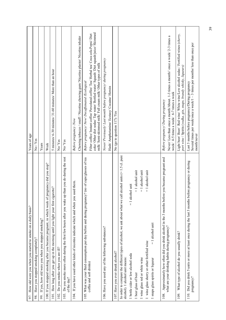| How old were you when you started to smoke on a daily basis?<br>97.                                                                                      | Years of age                                                                                                                                                                                                                                                                                        |
|----------------------------------------------------------------------------------------------------------------------------------------------------------|-----------------------------------------------------------------------------------------------------------------------------------------------------------------------------------------------------------------------------------------------------------------------------------------------------|
| Have you stopped smoking completely?<br>98.                                                                                                              | No/Yes                                                                                                                                                                                                                                                                                              |
| If yes, how old were you when you stopped smoking?<br>99.                                                                                                | Years                                                                                                                                                                                                                                                                                               |
| 100. If you stopped smoking after you became pregnant, in which week of pregnancy did you stop?                                                          | Week                                                                                                                                                                                                                                                                                                |
| 101. How long after you get up in the morning until you light your first cigarette?                                                                      | 5 minutes/ 6-30 minutes/ 31-60 minutes/ More than an hour                                                                                                                                                                                                                                           |
| Do you smoke when you are ill?<br>102                                                                                                                    | No/Yes                                                                                                                                                                                                                                                                                              |
| 103. Do you smoke more often during the first few hours after you wake up than you do during the rest<br>of the day?                                     | No/Yes                                                                                                                                                                                                                                                                                              |
| 104. If you have used other kinds of nicotine indicate which and when you used them.                                                                     | Chewing tobacco / snuff / Nicotine chewing gum/ Nicotine plaster/ Nicotine inhaler<br>Before pregnancy Now                                                                                                                                                                                          |
| 105. What was your fluid consumption per day before and during pregnancy? (no of cups/glasses of tea<br>coffee and soft drinks)                          | coke/ Other diet sodas/ Tap water/ Bottled water/ Squash/ Diet squash/juice/ Skimmed<br>Filter coffee/ Instant coffee/ Percolated coffee/ Tea/ Herbal tea/ Coca cola Pepsi/ Diet<br>milk/ Semi-skimmed milk/ Full cream milk/ Other types of milk<br>Before pregnancy/Now/Decaffeinated /Ecological |
| 106. Have you used any of the following substances?                                                                                                      | Never/ Previously/ Last month before pregnancy/ during pregnancy<br>Hash/ Amphetamine/ Ecstasy/ Cocaine/ Heroin                                                                                                                                                                                     |
| 107. Have you ever drunk alcohol?                                                                                                                        | No (go to question 117) /Yes                                                                                                                                                                                                                                                                        |
| In order to compare the different types of alcohol, we ask about what we call alcohol units $(= 1.5 \text{ d}$ . pure<br>alcohol). 1 alcohol unit means: |                                                                                                                                                                                                                                                                                                     |
| cohol unit<br>$\overline{a}$<br>1 bottle cider or low alcohol soda                                                                                       |                                                                                                                                                                                                                                                                                                     |
| $= 1$ alcohol unit<br>1 beer glass of beer                                                                                                               |                                                                                                                                                                                                                                                                                                     |
| $= 1$ alcohol unit<br>1 wine glass red or white wine                                                                                                     |                                                                                                                                                                                                                                                                                                     |
| $= 1$ alcohol unit<br>1 wine glass sherry or other fortified wine                                                                                        |                                                                                                                                                                                                                                                                                                     |
| $= 1$ alcohol unit<br>1 snaps glass spirits or liqueur                                                                                                   |                                                                                                                                                                                                                                                                                                     |
| Approximately how often did you drink alcohol in the 3 months before you became pregnant and<br>what are your drinking habits during pregnancy?<br>108.  | Never/ Less than once a month/About. 1-3 times a month// once a week/ 2-3 times a<br>week/ 4-5 times a week/ 6-7 times a week<br>Before pregnancy/ During pregnancy                                                                                                                                 |
| What type of alcohol do you usually drink?<br>109.                                                                                                       | Light beer/ Beer/ Red wine/ White wine/Low alcohol sodas / Fortified wines (sherry,<br>port wine / Spirits (vodka, gin, snaps, brandy whisky, liqueurs)                                                                                                                                             |
| before pregnancy or during<br>110. Did you drink 5 units or more at least once during the last 3 months<br>pregnancy?                                    | Several times per week/once a week/ $1 - 3$ times per months/ less than once per<br>Last 3 months before pregnancy/During pregnancy<br>month/never                                                                                                                                                  |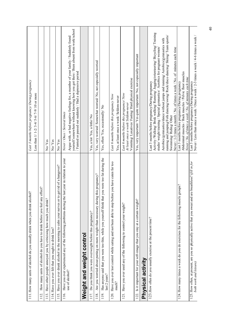| 111. How many units of alcohol du you usually drink when you drink alcohol?                                                           | Last 3 months before pregnancy/ During pregnancy                                                                                                                                                                                                                                                                                                                                                                                                                                       |
|---------------------------------------------------------------------------------------------------------------------------------------|----------------------------------------------------------------------------------------------------------------------------------------------------------------------------------------------------------------------------------------------------------------------------------------------------------------------------------------------------------------------------------------------------------------------------------------------------------------------------------------|
|                                                                                                                                       | Less than 1/ 1-2/ 3-4/ 5-6/ 7-9/ 10 or more                                                                                                                                                                                                                                                                                                                                                                                                                                            |
| effect?<br>How many units of alcohol do you have to drink before you feel any<br>$\overline{112}$                                     |                                                                                                                                                                                                                                                                                                                                                                                                                                                                                        |
| Have other people annoyed you by criticising how much you drink?<br>113.                                                              | No/Yes                                                                                                                                                                                                                                                                                                                                                                                                                                                                                 |
| 114. Have you ever felt that you ought to drink less?                                                                                 | No/Yes                                                                                                                                                                                                                                                                                                                                                                                                                                                                                 |
| 115. Have you ever drunk alcohol in the morning to calm your nerves or to get rid of a hangover?                                      | No/Yes                                                                                                                                                                                                                                                                                                                                                                                                                                                                                 |
| Have you ever experienced any of the following problems during the last year in relation to your<br>116.                              | Never / Once / Several times                                                                                                                                                                                                                                                                                                                                                                                                                                                           |
| use of alcohol?                                                                                                                       | yourself somewhere without knowing how you got there / Been absent from work/school<br>Argue with, or had negative feelings for, a member of your family / Suddenly found<br>/ Fainted or passed out suddenly / Had a depressive period                                                                                                                                                                                                                                                |
| Weight and weight control                                                                                                             |                                                                                                                                                                                                                                                                                                                                                                                                                                                                                        |
| Do you think you were overweight before this pregnancy?<br>117.                                                                       | Yes, a lot/Yes, a little/No                                                                                                                                                                                                                                                                                                                                                                                                                                                            |
| Are you worried about putting on more weight than necessary during this pregnancy?<br>118.                                            | Yes, very worried/Somewhat worried/No, not especially worried                                                                                                                                                                                                                                                                                                                                                                                                                          |
| Has anyone said that you were too thin, while you yourself think that you were too fat during the<br>last 2 years?<br>119.            | Yes, often/Yes, occasionally/No                                                                                                                                                                                                                                                                                                                                                                                                                                                        |
| Have you ever lost control while eating and not been able to stop before you have eaten far too<br>$\text{much?}$<br>120.             | Last 6 months before this pregnancy Now<br>Yes, at least once a week/Seldom-never                                                                                                                                                                                                                                                                                                                                                                                                      |
| 121. Have you ever used any of the following to control your weight?                                                                  | Vomiting/Laxatives/Fasting/Hard physical exercise<br>Last 6 months before this pregnancy/ Now<br>At least once a week/Seldom-never                                                                                                                                                                                                                                                                                                                                                     |
| 122. Is it important for your self-image that you stay at a certain weight?                                                           | Yes, very important/Yes quite important/No, not especially important                                                                                                                                                                                                                                                                                                                                                                                                                   |
| Physical activity                                                                                                                     |                                                                                                                                                                                                                                                                                                                                                                                                                                                                                        |
| 123. How often do you usually exercise at the present time?                                                                           | Activity/Walking/Brisk walking/Running/Jogging/orienteering/Bicycling/Training<br>running and jumping/Folk dancing/swing/Rock/disco dancing/Skiing/Team sports/<br>Aerobics/gymnastics/dance without jumps and ruming/ Aerobics/gymnastics with<br>Never / 1-3 times a month / No. of times a week / No. of minutes each time<br>studio/ weight training / Special gymnastics/ Aerobics for pregnant women<br>Last 3 months before pregnancy/During pregnancy<br>Swimming/Riding/Other |
| 124. How many times a week do you do exercises for the following muscle groups?                                                       | Abdominal muscles / Back muscles / Pelvic floor muscles<br>Never / No. of times a week / No. of minutes each time<br>Last 3 months before pregnancy/During pregnancy                                                                                                                                                                                                                                                                                                                   |
| are breathless? (fill in for<br>125. How often, at present, are you so physically active that you sweat and<br>both work and leisure) | Never / Less than once a week / Once a week $/2$ -3 times a week $/4$ -6 times a week $/$<br>Last 3 months before pregnancy/During pregnancy                                                                                                                                                                                                                                                                                                                                           |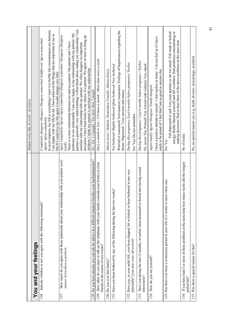|                                                                                                                                               | Almost every day At work / At leisure                                                                                                                                                                                                                                                                                                                                                                                                                                                                                                                                                                  |
|-----------------------------------------------------------------------------------------------------------------------------------------------|--------------------------------------------------------------------------------------------------------------------------------------------------------------------------------------------------------------------------------------------------------------------------------------------------------------------------------------------------------------------------------------------------------------------------------------------------------------------------------------------------------------------------------------------------------------------------------------------------------|
| You and your feelings                                                                                                                         |                                                                                                                                                                                                                                                                                                                                                                                                                                                                                                                                                                                                        |
| 126 Indicate whether or not you agree with the following statements?                                                                          | In most respects, my life is everything I want it to be/My life circumstances are fantastic<br>I am happy with my life/So far, I have achieved the things that are important to me in<br>Completely disagree/ Disagree/ Disagree somewhat/ Indifferent/ Agree somewhat/<br>life/If I could live my life again I would change very little<br>Agree/ Agree completely                                                                                                                                                                                                                                    |
| How much do you agree with these statements about your relationship with your partner ( <i>only</i><br>answer if you have a partner)<br>127.  | partner is generally very understanding/I often think about ending our relationship/I am<br>problems in our relationship/ I am very happy in my relationship with my partner/ My<br>Agree completely/Agree/Agree somewhat/Disagree somewhat/Disagree/Disagree<br>decisions/ I have been lucky in my choice of a partner/ We agree on how to bring up<br>There is a close relationship between me and my partner/ My partner and I have<br>satisfied with my relationship with my partner/ We often disagree on important<br>children/ I think my partner is satisfied with our relationship<br>totally |
| 128. Do you have anyone you can ask for advice in a difficult situation besides your husband/partner?                                         | No / Yes 1-2 people / Yes more than 2 people                                                                                                                                                                                                                                                                                                                                                                                                                                                                                                                                                           |
| How often do you meet or talk on the telephone with your family (outside your home) or close<br>friends in the course of two weeks?<br>129.   | Once a month or less $/2$ -8 times a month $/$ More than twice a week                                                                                                                                                                                                                                                                                                                                                                                                                                                                                                                                  |
| 130. Do you ever feel lonely?                                                                                                                 | Almost never / Seldom / Sometimes/ Usually/ Almost always                                                                                                                                                                                                                                                                                                                                                                                                                                                                                                                                              |
| reeks?<br>131. Have you been bothered by any of the following during the last two w                                                           | Worried or concerned/ Nervousness/ uneasiness/ Feelings of hopelessness regarding the<br>Not bothered/ Slightly bothered/ Quite bothered/ Very bothered<br>future/ Depressed / Very anxious and uneasy                                                                                                                                                                                                                                                                                                                                                                                                 |
| bothered in any way<br>132. Have you, in your adult life, ever been slapped, hit or kicked or been<br>physically? (you may cross off several) | During this pregnancy /Last 6 months before pregnancy/ Earlier<br>No/Yes/Do not remember                                                                                                                                                                                                                                                                                                                                                                                                                                                                                                               |
| ed into having sexual<br>133. Have you during the last 12 months, or earlier, been pressured or forc<br>intercourse?                          | During this pregnancy / Last 6 months before pregnancy / Earlier<br>No, never/Yes, Pressed/Yes, Forced with violence/Yes, raped                                                                                                                                                                                                                                                                                                                                                                                                                                                                        |
| 134. How do you see yourself?                                                                                                                 | I have a positive attitude to myself / I feel useless at times / I do not feel as if I have<br>much to be proud of/ I feel that I am as good as anyone else<br>Agree totally/ Agree/ Disagree/ Totally disagree                                                                                                                                                                                                                                                                                                                                                                                        |
| 135. Has there ever been a continuous period in your life of 2 weeks or more when you:                                                        | Felt depressed or sad/ Lost your appetite or ate too much/ Felt weak or lacked<br>energy/Really blamed yourself and felt worthless/Had problems concentrating or<br>making decisions/ Had at least three of the above problems at the same time<br>No/Ves                                                                                                                                                                                                                                                                                                                                              |
| 136. If you have had 3 or more of these problems at the same time how many weeks did the longest<br>period last?                              | No of weeks                                                                                                                                                                                                                                                                                                                                                                                                                                                                                                                                                                                            |
| 137. Was there a special reason for this?                                                                                                     | No, no special reason/ yes (e.g. death, divorce, miscarriage, accident)                                                                                                                                                                                                                                                                                                                                                                                                                                                                                                                                |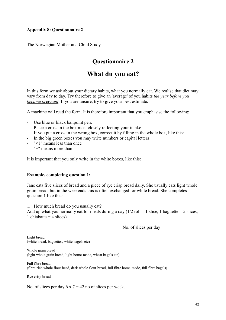#### **Appendix 8: Questionnaire 2**

The Norwegian Mother and Child Study

#### **Questionnaire 2**

#### **What du you eat?**

In this form we ask about your dietary habits, what you normally eat. We realise that diet may vary from day to day. Try therefore to give an 'average' of you habits *the year before you became pregnant*. If you are unsure, try to give your best estimate.

A machine will read the form. It is therefore important that you emphasise the following:

- Use blue or black ballpoint pen.
- Place a cross in the box most closely reflecting your intake.
- If you put a cross in the wrong box, correct it by filling in the whole box, like this:
- In the big green boxes you may write numbers or capital letters
- "<1" means less than once
- "+" means more than

It is important that you only write in the white boxes, like this:

#### **Example, completing question 1:**

Jane eats five slices of bread and a piece of rye crisp bread daily. She usually eats light whole grain bread, but in the weekends this is often exchanged for white bread. She completes question 1 like this:

1. How much bread do you usually eat?

Add up what you normally eat for meals during a day  $(1/2 \text{ roll} = 1 \text{ slice}, 1 \text{ baguette} = 5 \text{ slices},$ 1 chiabatta  $=$  4 slices)

No. of slices per day

Light bread (white bread, baguettes, white bagels etc)

Whole grain bread (light whole grain bread, light home-made, wheat bagels etc)

Full fibre bread (fibre-rich whole flour bead, dark whole flour bread, full fibre home-made, full fibre bagels)

Rye crisp bread

No. of slices per day  $6 \times 7 = 42$  no of slices per week.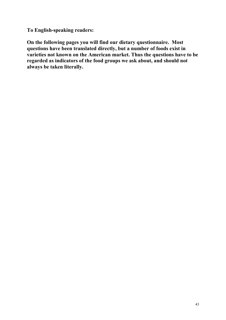**To English-speaking readers:**

**On the following pages you will find our dietary questionnaire. Most questions have been translated directly, but a number of foods exist in varieties not known on the American market. Thus the questions have to be regarded as indicators of the food groups we ask about, and should not always be taken literally.**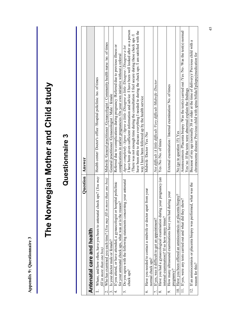| ١                                                                |
|------------------------------------------------------------------|
| ı<br>I<br>. הוא היו היו                                          |
| $\begin{array}{c} 1 \\ 1 \\ 2 \\ 3 \end{array}$<br>$\frac{1}{2}$ |
|                                                                  |
| J                                                                |
| ¢                                                                |
|                                                                  |
|                                                                  |
| م<br>ا<br>ļ                                                      |

# The Norwegian Mother and Child study **The Norwegian Mother and Child study**

## Questionnaire 3 **Questionnaire 3**

|                                                                                                                                     | Question  | Answer                                                                                                                                                                 |
|-------------------------------------------------------------------------------------------------------------------------------------|-----------|------------------------------------------------------------------------------------------------------------------------------------------------------------------------|
| Antenatal care and health                                                                                                           |           |                                                                                                                                                                        |
| 1. Where, and how often, have you been to antenatal check ups? ( <i>You may</i><br>fill in more than one box)                       |           | Health center/ Doctor's office /Hospital policlinic /no. of times                                                                                                      |
| Who has examined you each time? (You may fill in more than one box)<br>$\overline{\mathcal{L}}$                                     |           | Midwife /General practitioner /Gynaecologist / Community health nurse /no. of times                                                                                    |
| Is your doctor male or female?<br>$\dot{\phantom{1}}$                                                                               |           | General practitioner /Gynaecologist / Male / female                                                                                                                    |
| If you attend, or have attended, a gynaecologist or hospital policlinic<br>for your antenatal check ups, what was or is the reason? |           | Referred due to complications during pregnancy /Referred due to previous illness or<br>complications in earlier pregnancies /On your own initiative without a referral |
| Do you agree with the following statements concerning your<br>5.                                                                    | antenatal | Agree completely /Agree /Agree a little /Disagree a little /Disagree / Disagree a lot                                                                                  |
| check ups?                                                                                                                          |           | I have been given sufficient information and advice <i>I</i> I have been well looked after as a person                                                                 |
|                                                                                                                                     |           | There was not enough time during the consultation $\Lambda$ feel secure during these check ups $\Lambda$                                                               |
|                                                                                                                                     |           | have been able to discuss everything I needed to during the check ups /I am satisfied with the                                                                         |
|                                                                                                                                     |           | way I have been followed up by the health service                                                                                                                      |
| Have you needed to contact a midwife or doctor apart from<br>normal check ups?<br>c.                                                | vour      | Midwife /Doctor /Yes /No                                                                                                                                               |
| If yes, was it difficult to get an appointment?<br>$\overline{r}$ .                                                                 |           | Not difficult /A little difficult /Very difficult /Midwife /Doctor                                                                                                     |
| Have you had a gynaecological examination during your pregnancy (an<br>internal examination)? If so how many times?<br>∞ं           |           | Yes /No /No. of times                                                                                                                                                  |
| How many ultrasound examinations have you had during your<br>pregnancy?<br>9.                                                       |           | External examination / Internal examination/ No. of times                                                                                                              |
| 10. Have you been offered an amniocentesis or placenta biopsy?                                                                      |           | No (go to question 15) Yes                                                                                                                                             |
| 11. If yes, were any tests carried out and what did they show?                                                                      |           | Amniocentesis /Placenta biopsy /Was the test(s) carried out /Y es /No /Was the test(s) normal/                                                                         |
|                                                                                                                                     |           | Yes/ no If the tests were abnormal explain the findings                                                                                                                |
| 12. If an amniocentesis or placenta biopsy was performed, what was the                                                              |           | Because of my age (normally 38 or older at the time of delivery) Previous child with a                                                                                 |
| reason for this?                                                                                                                    |           | chromosome disease/ Previous child with spina bifida/Epilepsy(medication for                                                                                           |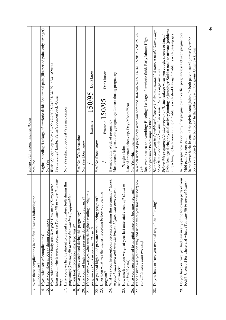|                                                                                                                                                                   | epilepsy)/Ultrasonic findings/Other                                                                                                                                                        |
|-------------------------------------------------------------------------------------------------------------------------------------------------------------------|--------------------------------------------------------------------------------------------------------------------------------------------------------------------------------------------|
| Were there complications in the first 2 weeks following the<br>amniocentesis?<br>$\Xi$                                                                            | $\ensuremath{\mathrm{Yes}}\xspace/\text{no}$                                                                                                                                               |
| If yes, what sort of complications?<br>$\overline{4}$ .                                                                                                           | Vaginal bleeding /Leakage of amniotic fluid/ Abdominal pain (like period pains only stronger)                                                                                              |
| Have you taken an X-ray during pregnancy?<br><u>15</u>                                                                                                            | No Nes                                                                                                                                                                                     |
| taken and in which week of pregnancy?(You may fill in more than one<br>If yes, what part of the body was X-rayed? How many X-rays were<br>box)<br>$\overline{16}$ | Week of pregnancy 0-12/13-16/17-20/21-24/25-28/29+/No. of times<br>Teeth/Lungs/Limbs/Pelvis/abdomen/back /Other                                                                            |
| luring this<br>Have you ever had treatment to prevent a premature birth d<br>17.                                                                                  | No / Yes relax or bed-rest /Yes medication                                                                                                                                                 |
| pregnancy?(You may fill in more than one box if applicable)                                                                                                       |                                                                                                                                                                                            |
| If you took medication what type was it?<br>$\overline{18}$                                                                                                       |                                                                                                                                                                                            |
| Have you been vaccinated during this pregnancy?<br>$\overline{9}$                                                                                                 | Yes/No Which vaccine                                                                                                                                                                       |
| Have you had high blood pressure during your pregnancy?<br>20.                                                                                                    | No/Yes/Don't know                                                                                                                                                                          |
| If the answer was yes what was the highest reading during this<br>pregnancy? (Look at your health card)<br>$\overline{21}$                                        | Don't know<br>150/95<br>Example                                                                                                                                                            |
| Have you had high blood pressure without being pregnant?<br>22.                                                                                                   | Yes/No/Don't know                                                                                                                                                                          |
| If yes then what was the highest recording before you became<br>pregnant?<br>23.                                                                                  | Don't know<br>Example $150/95$                                                                                                                                                             |
| 24.                                                                                                                                                               | Haemoglobin/Week of pregnancy                                                                                                                                                              |
| What was your haemoglobin percentage during this pregnancy? (Look<br>at your health card and note the lowest, highest and most recent                             | Most recent/Highest during pregnancy/Lowest during pregnancy                                                                                                                               |
| percentage)s                                                                                                                                                      |                                                                                                                                                                                            |
| (Look at<br>How much did you weigh at your last antenatal check up?<br>your health card)<br>25.                                                                   | Date of antenatal check up/ Day /Month/Year<br>Weight / kilos                                                                                                                              |
| Have you been admitted to hospital since you became pregnant?<br>26.                                                                                              | No/Yes/which hospital                                                                                                                                                                      |
| 27. If the answer was yes then why and when were you hospitalised?(You                                                                                            | In which week of pregnancy were you admitted $0-4/5-8/9-12/13-16/17-20/21-24/25$ 28/                                                                                                       |
| can fill in more than one box)                                                                                                                                    | $-62$                                                                                                                                                                                      |
|                                                                                                                                                                   | Recurrent nausea and vomiting/Bleeding/Leakage of anmiotic fluid/Early labour/High<br>blood pressure/ Preeclampsia/Other                                                                   |
| Do you have or have you ever had any of the following?<br>28.                                                                                                     | How often have you had problems? (Never/ 1-4 times a month/ 1-6 times a week/ Once a day/                                                                                                  |
|                                                                                                                                                                   | More than once a day/How much at a time? Drops/Large amounts                                                                                                                               |
|                                                                                                                                                                   | Before this pregnancy/ In this pregnancy /Urine leakage when you cough, sneeze or laugh/                                                                                                   |
|                                                                                                                                                                   | Urine leakage during physical activity (running or jumping)/ Sudden need to urinate (problems<br>in reaching the bathroom in time)/ Problems with stool leakage/ Problems with passing gas |
| parts of your<br>body? Cross off for where and when. (You may fill in several boxes)<br>Do you have or have you had pain in any of the following<br>29.           | In this pregnancy/ Prior to my first pregnancy/ In earlier pregnancies/ Between pregnancies<br>Mild pain/Severe pain                                                                       |
|                                                                                                                                                                   | In the lower back/ In one of the pelvic-sacral joints/ In both pelvic-sacral joints/ Over the<br>coccyx (tailbone)/ In the buttocks/ In the pubic area/ In the groin/ Other back pain      |
|                                                                                                                                                                   |                                                                                                                                                                                            |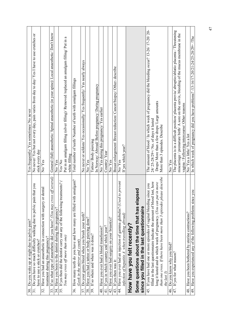| 30. Do you wake up at night due to pelvic pain?                                                                               | Yes frequently/ Yes sometimes/ No never                                                           |
|-------------------------------------------------------------------------------------------------------------------------------|---------------------------------------------------------------------------------------------------|
| that you<br>31. Do you have so much difficulty walking due to pelvic pain                                                     | No never/Yes but not every day, pain varies from day to day/Yes I have to use crutches or         |
| have to use a stick or crutches?                                                                                              | stick every day                                                                                   |
| dental<br>Have you had an anaesthetic in connection with surgery or<br>32.                                                    | No/Yes                                                                                            |
| treatment during this pregnancy?                                                                                              |                                                                                                   |
| If so what type of anaesthetic did you have? (You may cross off several)<br>33.                                               | General (full) anaesthetic/ Spinal anaesthetic (in your spine)/ Local anaesthetic/ Don't know     |
| Have you been to the dentist during this pregnancy?<br>34.                                                                    | No/Yes                                                                                            |
| If yes then did the dentist carry out any of the following treatments?<br>35.                                                 | Yes/No                                                                                            |
| You may cross off more than one)                                                                                              | Put in an amalgam filling (silver filling)/ Removed /replaced an amalgam filling/ Put in a        |
|                                                                                                                               | white filling                                                                                     |
| amalgam?<br>How many teeth do you have and how many are filled with<br>36.                                                    | Total number of teeth/Number of teeth with amalgam fillings                                       |
| (Look in the mirror and count)                                                                                                |                                                                                                   |
| Do your gums bleed when you brush your teeth?<br>37.                                                                          | No never or seldom/Yes occasionally/Yes frequently/Yes nearly always                              |
| Have you had a tattoo or body piercing done?<br>38.                                                                           | No/Yes                                                                                            |
| If so where and when was it done?<br>39.                                                                                      | Tattoo/Body piercing<br>In Norway/ Abroad/Before pregnancy/ During pregnancy                      |
|                                                                                                                               |                                                                                                   |
| Have you ever had a blood transfusion?<br>$\frac{4}{9}$                                                                       | No/Yes during this pregnancy/Yes earlier                                                          |
| If yes in which country and which year?<br>$\frac{1}{4}$                                                                      | Country/Year                                                                                      |
| Have you ever had surgery on your breast(s)?<br>$\frac{1}{4}$                                                                 | $\rm{}No/Yes$                                                                                     |
| If yes then was it:<br>$\frac{4}{3}$ .                                                                                        | Breast enlargement/ Breast reduction/ Cancer/biopsy/ Other- describe                              |
| to prevent<br>44. Have you ever had an injection of gamma globulin? (Used<br>infection of hepatitis A when travelling abroad) | If yes which year?<br>No/Nes                                                                      |
|                                                                                                                               |                                                                                                   |
| How have you felt recently?                                                                                                   |                                                                                                   |
| sed<br>Some questions about the time that has elap                                                                            |                                                                                                   |
| since you filled in the last questionnaire                                                                                    |                                                                                                   |
| 45. If you have had one or more episodes of vaginal bleeding since you                                                        | The amount of blood / In which week of pregnancy did the bleeding occur? 13-26/17-20/20-          |
| filled in the last questionnaire indicate the amount of blood lost, how                                                       | 24/25-28/29+/No. of days it lasted                                                                |
| long it lasted and in which week of pregnancy. (You can put in more                                                           | Drops/ More than a few drops/ Large amounts                                                       |
| than one cross. If there have been more than 3 episodes please describe<br>the last $3$ )                                     | More than 3 episodes. Describe                                                                    |
| Do you know why you bled?<br>46.                                                                                              | No/Yes                                                                                            |
| If yes for what reason?<br>47.                                                                                                | The placenta is in a difficult position/ placenta previa/ abruptio/ablatio placenta / Threatening |
|                                                                                                                               | miscarriage/ premature birth/ A sore on the cervix, bleeding of the mucus membrane in the         |
|                                                                                                                               | vagina / Following intercourse/ Other reasons                                                     |
| Have you been bothered by uterine contractions?<br>$\frac{8}{3}$                                                              | No/Yes a little/Yes a lot                                                                         |
| you<br>Have you experienced any of the following problems since<br>49.                                                        | In which week of pregnancy did you have problems? /13-16/17-20/21-24/25-28/29+ /The               |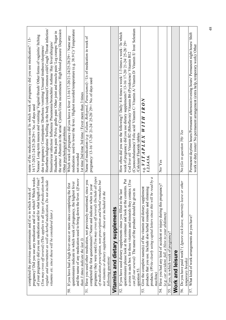| pregnancy? Did you use any medication and if so which? Which weeks<br>completed the previous questionnaire and if so in which week of              | name of the medication used/ In which week of pregnancy did you use medication? / 13-<br>16/17-20/21-24/25-28/29+/ No. of days used                                           |
|----------------------------------------------------------------------------------------------------------------------------------------------------|-------------------------------------------------------------------------------------------------------------------------------------------------------------------------------|
| (You may cross off several) (This applies to all types of medication both<br>of your pregnancy did you use medication and for what length of time? | Nausea/ Long-term nausea and vomiting/ Vaginal thrush/ Other forms of vaginitis/ Itching<br>due to pregnancy/ Constipation/ Diarrhoea /vomiting/ Unusual tiredness/sleepiness |
| regular and intermittent as well as herbal medication. Do not include                                                                              | Heartburn/indigestion/Swelling in the body (oedema)/Common cold/Cough/Throat infection/                                                                                       |
| vitamins etc. since these will be considered later.)                                                                                               | Sinusitis/ear infection/ Influenza/ Pneumonia/bronchitis/ Asthma/ Hay fever/allergies/                                                                                        |
|                                                                                                                                                    | Headaches/ Back pain/ Pelvic girdle pain/ Other joint and muscle pain/ Leg cramps/ Sugar in                                                                                   |
|                                                                                                                                                    | the urine/ Albumin in the urine/ Cystitis/Urine incontinence/ High blood pressure/ Depression<br>Other psychological problems                                                 |
| 50. If you have had a high fever once or more since completing the first                                                                           | Which week of pregnancy did you have a fever 13-16/17-20/21-24/25-28/29+ / Name any                                                                                           |
| questionnaire indicate in which week of pregnancy, the highest fever                                                                               | medication used to lower the fever./ Highest recorded temperature (e.g. 38.9 C)/ Temperature                                                                                  |
| and the name of any medication used to bring down the fever. (If more                                                                              | not recorded                                                                                                                                                                  |
| than $3$ times indicate the last $3)$                                                                                                              | 1st time 2nd time 3rd time / Fever more than 3 times                                                                                                                          |
| Have you used other medication, not previously mentioned, since you<br>51.                                                                         | Name of medication (e.g. Valium, Rohypnol, Paracetamol) / Us of medication in week of pregnancy/ 13-16/ 17-20/ 21-24/ 25-28/ 29+/ No. of days used                            |
| completed the first questionnaire? Name and indicate when in your                                                                                  |                                                                                                                                                                               |
| pregnancy they were used.(You may cross off several) (Include all types                                                                            |                                                                                                                                                                               |
| of medication prescription, non-prescription and herbal remedies but<br>$i$ the<br>not vitamins or dietary supplements - these are included in     |                                                                                                                                                                               |
| following question)                                                                                                                                |                                                                                                                                                                               |
| Vitamins and dietary supplements                                                                                                                   |                                                                                                                                                                               |
| If you have used dietary supplements since you filled in the last<br>52.                                                                           | How often did you use the following?/ Daily/ 4-6 times a week/ 1-3 times a week/ In which                                                                                     |
| questionnaire please look at the container and look at the contents. Put                                                                           | week of pregnancy did you use dietary supplements?/ 13-16/17-20/21-24/25-28/29+                                                                                               |
| a cross in each box for those vitamins and minerals they contain. (You                                                                             | Cod liver oil/ Vitamin B2 (Riboflavin)/ Vitamin B6 (Pyridoxine)/ Vitamin B12                                                                                                  |
| wen in<br>can fill out several) The name of the product should be gi                                                                               | (Cyanocobalamine)/ Folic acid/Vitamin C/Vitamin A/Vitamin D/Vitamin E/Iron/Selenium                                                                                           |
| question 53.                                                                                                                                       | Calcium/Fluoride tablets                                                                                                                                                      |
| Give the complete name(s) of the vitamin and dietary supplement<br>53.                                                                             | $\frac{\text{e.g.}}{\text{1.2.3.4.5.6}} VITABLEX\,\,\overline{WITH\,\,IRON}$                                                                                                  |
| imming<br>products that you use. Include also herbal remedies and sli                                                                              |                                                                                                                                                                               |
| products. (Write clearly using capital letters since this will be read by a<br>machine)                                                            |                                                                                                                                                                               |
| Have you had any kind of accident or injury during this pregnancy?<br>54.                                                                          | No/Yes                                                                                                                                                                        |
| $(e.g. car accident, fall, a blow to your abdomen)$                                                                                                |                                                                                                                                                                               |
| If yes, in which week of pregnancy?<br>55.                                                                                                         |                                                                                                                                                                               |
| Work and leisure                                                                                                                                   |                                                                                                                                                                               |
| 56. Do you have paid work? (Ignore sick leave, maternity leave or other                                                                            | No (Go to question 59)/ Yes                                                                                                                                                   |
| temporary breaks)                                                                                                                                  |                                                                                                                                                                               |
| What kind of work arrangements do you have?<br>57.                                                                                                 | Permanent daytime hours/Permanent afternoon/evening hours/ Permanent night hours/ Shift<br>work or duty roster/No permanent arrangement (extra help, temporary work)/Other    |
|                                                                                                                                                    |                                                                                                                                                                               |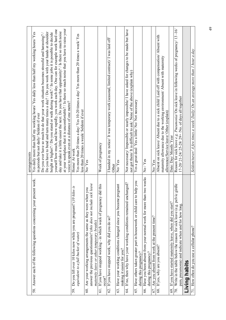|                                                                                                                                                                                        | arrangements                                                                                                                                                                                                                                                                                                                                                                                                                                                                                                                                                                                                                                                                                                                                                                       |
|----------------------------------------------------------------------------------------------------------------------------------------------------------------------------------------|------------------------------------------------------------------------------------------------------------------------------------------------------------------------------------------------------------------------------------------------------------------------------------------------------------------------------------------------------------------------------------------------------------------------------------------------------------------------------------------------------------------------------------------------------------------------------------------------------------------------------------------------------------------------------------------------------------------------------------------------------------------------------------|
| Answer each of the following questions concerning your present work.<br>58.                                                                                                            | at your workplace that it is uncomfortable? / Is there so much noise that you have to raise your<br>yourself how much, and how rapidly, you work each day. One can for example work hard one<br>day and take it a little easier the next. Do you have that opportunity? / Is there so much noise<br>Do you have to bend and turn many times a day? / Do you work with your hands at shoulder<br>Yes daily more than half my working hours/Yes daily less than half my working hours/Yes<br>height or higher? / Do you stand or walk during work? / In some jobs it is possible to decide<br>Do you ever have so much to do that your work situation becomes stressful and harassing?<br>voice to speak even at a distance of one metre?<br>in periods but not daily/Seldom if ever |
| kilos is<br>59. Do you lift over 10 kilos now while you are pregnant? (10<br>equivalent to a full bucket of water)                                                                     | Yes more than 20 times a day/ Yes 10-20 times a day/ Yes more than 20 times a week/ Yes<br>less than 20 times a week/ Seldom if ever<br>Home/ At work                                                                                                                                                                                                                                                                                                                                                                                                                                                                                                                                                                                                                              |
| answer the previous questionnaire? (this does not include sick leave<br>60. Are your working arrangements the same as they were when you<br>maternity leave or other temporary breaks) | No/Yes                                                                                                                                                                                                                                                                                                                                                                                                                                                                                                                                                                                                                                                                                                                                                                             |
| If you have stopped working - in which week of pregnancy did this<br>occur?<br>$\overline{61}$ .                                                                                       | Week of pregnancy                                                                                                                                                                                                                                                                                                                                                                                                                                                                                                                                                                                                                                                                                                                                                                  |
| If you have stopped work, why did you do so?<br>62.                                                                                                                                    | I handed in my notice/ It was temporary work (seasonal, limited contract)/ I was laid off/<br>Other                                                                                                                                                                                                                                                                                                                                                                                                                                                                                                                                                                                                                                                                                |
| pregnant<br>Have your working conditions changed since you became<br>making it easier for you?<br>63.                                                                                  | No/Yes                                                                                                                                                                                                                                                                                                                                                                                                                                                                                                                                                                                                                                                                                                                                                                             |
| If no, then why have your working conditions remained unchanged?<br>4                                                                                                                  | Not necessary/ Impossible or nearly impossible/ I have asked for changes to be made but have<br>not got them/ It is difficult to ask/ None of the above (explain why)                                                                                                                                                                                                                                                                                                                                                                                                                                                                                                                                                                                                              |
| o help you<br>Have others taken greater part in housework or child care a<br>during this pregnancy?<br>65.                                                                             | Yes a great deal/Yes a little/No/Not necessary                                                                                                                                                                                                                                                                                                                                                                                                                                                                                                                                                                                                                                                                                                                                     |
| Have you been absent from your normal work for more than two weeks<br>during this pregnancy?<br>66.                                                                                    | No/Yes                                                                                                                                                                                                                                                                                                                                                                                                                                                                                                                                                                                                                                                                                                                                                                             |
| Are you absent from work at the present time?<br>67.                                                                                                                                   | No/Yes                                                                                                                                                                                                                                                                                                                                                                                                                                                                                                                                                                                                                                                                                                                                                                             |
| If yes, why are you absent?<br>68.                                                                                                                                                     | Absent on sick leave/ Absent due to a sick child/ Laid off with compensation/ Absent with<br>maternity allowance due to the working environment/ Absent with maternity<br>allowance/Service leave/Other (explain)                                                                                                                                                                                                                                                                                                                                                                                                                                                                                                                                                                  |
| If you have started maternity leave, when did you start?<br>69.                                                                                                                        | Date: Day/ Month/ Year                                                                                                                                                                                                                                                                                                                                                                                                                                                                                                                                                                                                                                                                                                                                                             |
| 70. Write in the table below the reason for sick leave (e.g. pelvic girdle<br>pain, pneumonia) and indicate when and for how long                                                      | Reason for sick leave e.g. Pneumonia/ On sick leave in following weeks of pregnancy/ 13-16/<br>17-20/21-24/25-28/29+ /No. of days all together                                                                                                                                                                                                                                                                                                                                                                                                                                                                                                                                                                                                                                     |
| Living habits                                                                                                                                                                          |                                                                                                                                                                                                                                                                                                                                                                                                                                                                                                                                                                                                                                                                                                                                                                                    |
| How often do you use a cellular phone?                                                                                                                                                 | Seldom/never/ A few times a week/ Daily/ On an average more than 1 hour a day                                                                                                                                                                                                                                                                                                                                                                                                                                                                                                                                                                                                                                                                                                      |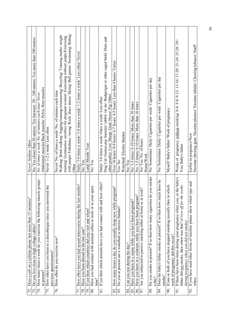| Does a call on a cellular phone last more than 15 minutes?<br>72.                                                                                                                                  | Never/Seldom/ Often                                                                                                                            |
|----------------------------------------------------------------------------------------------------------------------------------------------------------------------------------------------------|------------------------------------------------------------------------------------------------------------------------------------------------|
| Do you live close to high voltage cables?<br>73.                                                                                                                                                   | No/ Yes closer than 50 metres/ Yes between 50 - 100 metres/ Yes more than 100 metres                                                           |
| How many times a week do you exercise the following muscle groups<br>at present?<br>74.                                                                                                            | Abdominal muscles/Back muscles/ Pelvic floor muscles<br>No. of times a week/No. of minutes each time/Never                                     |
| How often have you been to a discotheque since you answered the<br>previous questionnaire?<br>75.                                                                                                  | Never/ 1-2 a week/ Less often                                                                                                                  |
| How often do you exercise now?<br>76.                                                                                                                                                              | Never/ No. of times a week/ No. of minutes each time                                                                                           |
|                                                                                                                                                                                                    | Walking/Brisk walking/Jogging/rumning/orienteering/Bicycling/Training studio/weight                                                            |
|                                                                                                                                                                                                    | training/ Gymnastics/ aerobics for pregnant women/ Exercising without jumps/Exercising                                                         |
|                                                                                                                                                                                                    | with jumps/ Folkdance /swing/ Rock/ disco dance/ Skiing/ Ball games/ Swimming/ Riding/<br>Other                                                |
| months?<br>How often have you had sexual intercourse during the last<br>77                                                                                                                         | Daily/ 5-6 times a week/ 3-4 times a week/ 1-2 times a week/ Less often/ Never                                                                 |
| Have you been abroad in the last year?<br>78.                                                                                                                                                      | No/Yes                                                                                                                                         |
| If yes then which countries did you visit and when?<br>79.                                                                                                                                         | Land/Month/Year                                                                                                                                |
| Have you had contact with animals either at work or in your spare<br>time?<br>80.                                                                                                                  | No/Yes                                                                                                                                         |
| If yes then which animals have you had contact with and how often?<br>$\overline{\text{}}$                                                                                                         | Daily/ 3-6 times a week/ Once a week/ Less often                                                                                               |
|                                                                                                                                                                                                    | Dog/ Cat/ Guinea pig/ hamster/rabbit/ rat etc/ Budgerigar or other caged birds/ Hens and<br>other poultry/ Cow/ Sheep/ Goat/ Horse/ Pig/ Other |
| ?gnant?<br>How many hours a day do you usually sleep now while pre<br>82.                                                                                                                          | Over 10 hours/8-9 hours/6-7 hours/4-5 hours/ Less than 4 hours/ Varies                                                                         |
| Do you at present use a waterbed or electric blanket?<br>83.                                                                                                                                       | Yes/No                                                                                                                                         |
|                                                                                                                                                                                                    | Waterbed/Electric blanket                                                                                                                      |
| Can you rest during the day?<br>$\overline{\mathcal{E}}$                                                                                                                                           | No/Yes                                                                                                                                         |
| Have you been in a sauna while you have been pregnant?<br>85.                                                                                                                                      | $N\omega/1-5$ times/6-10 times/More than 10 times                                                                                              |
| $\widehat{\mathcal{L}}$<br>Have you been in a solarium while you have been pregnant<br>86.                                                                                                         | $N\omega/1-5$ times/ 6-10 times/ More than 10 times                                                                                            |
| work?<br>Are you subjected to passive smoking either at home or at<br>87.                                                                                                                          | No/Yes/No. of hours<br>Home/Work                                                                                                               |
| to you smoke<br>Do you smoke at present? If so then how many cigarettes d<br>$a$ day?<br>88.                                                                                                       | No/Sometimes/Daily Cigarettes per week/Cigarettes per day                                                                                      |
| Does the baby's father smoke at present? If so then how much does he<br>smoke?<br>89.                                                                                                              | No/Sometimes/Daily/Cigarettes per week/Cigarettes per day                                                                                      |
| If one or both of you have stopped smoking recently then in which<br>week of pregnancy did this occur?<br>90.                                                                                      | Myself/Baby's father /Week of pregnancy                                                                                                        |
| or the baby's<br>father did not smoke, then when was that? (Cross off for the weeks<br>If there have been times during your pregnancy when you,<br>during pregnancy when you did not smoke)<br>51. | Weeks of pregnancy without smoking/ 0-4/ 5-8/ 9-12/ 13-16/ 17-20/ 21-24/ 25-28/ 29+<br>You/Baby's father                                       |
| If you have used other forms of nicotine please show which type and<br>when<br>92.                                                                                                                 | Nicotine chewing gum/ Nicotine plasters/ Nicotine inhaler/ Chewing tobacco/ Snuff<br>Earlier in pregnancy/Now                                  |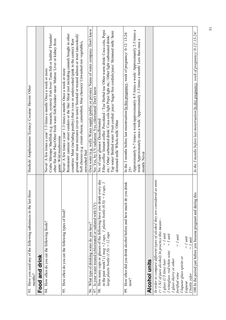| 93. Have you used any of the following substances in the last three<br>months?                                                                                                                                                                                                                                                                  | Hashish/ Amphetamine/ Ecstacy/ Cocaine/ Heroin/ Other                                                                                                                                                                                                                                                                                                                                                                                                               |
|-------------------------------------------------------------------------------------------------------------------------------------------------------------------------------------------------------------------------------------------------------------------------------------------------------------------------------------------------|---------------------------------------------------------------------------------------------------------------------------------------------------------------------------------------------------------------------------------------------------------------------------------------------------------------------------------------------------------------------------------------------------------------------------------------------------------------------|
| Food and drink                                                                                                                                                                                                                                                                                                                                  |                                                                                                                                                                                                                                                                                                                                                                                                                                                                     |
| 94. How often do you eat the following foods?                                                                                                                                                                                                                                                                                                   | Crabs/ Shrimps/ Shellfish (e.g. mussels, oysters)/ Fish liver/ Tuna fish or halibut/ Flounder/<br>other flat fish/Pike/Other fresh water fish/Reindeer meat/Mutton/Liver or kidney from<br>Never/ A few times a year/ 1-3 times a month/ Once a week or more<br>game/ Wild mushrooms                                                                                                                                                                                |
| 95. How often do you eat the following types of food?                                                                                                                                                                                                                                                                                           | Restaurant/ canteen/ street vendors or the like/ Meat (not including canned) bought in other<br>ground meat/ meat mixtures (even to taste)/ Smoked or treated salmon or trout (uncooked)/<br>countries/ Meat (including poultry) that is raw or undercooked (pink in the centre)/ Raw<br>Soft cheeses (e.g. cream cheese, camembert, blue cheeses)/ Unwashed raw vegetables,<br>Never/ A few times a year/ 1-3 times a month/ Once a week or more<br>unwashed fruit |
| What type of drinking water do you have?<br>96.                                                                                                                                                                                                                                                                                                 | Own water (e.g. well)/ Water supply (public or private)/ Name of water company/ Don't know                                                                                                                                                                                                                                                                                                                                                                          |
| Is your water treated (chlorinated or radiated with UV)<br>97.                                                                                                                                                                                                                                                                                  | No/ Yes, by UV radiation/ Yes, chlorinated/ Don't know                                                                                                                                                                                                                                                                                                                                                                                                              |
| How many cups or glasses of the following have you drunk every day<br>$4 \text{ cups}, 1$<br>in the past week? (1 mug =2 cups, 1 plastic bottle $(0.5l)$ = large plastic bottle $(0.5l)$<br>98.                                                                                                                                                 | Filter coffee/ Instant coffee/ Percolated / Tea/ Herbal tea/ Other warm drink/ Coca cola, Pepsi<br>Tap water/Bottled water/Fruit cordial/juice/Sugar free cordials/juice/Skimmed milk/Semi<br>etc./ Other carbonated drink/ Coca cola light Pepsi light etc./ Other light carbonated drink/<br>No. of cups/ glasses/ Decaffeinated<br>skimmed milk/Whole milk/Other                                                                                                 |
| you drink<br>How often did you drink alcohol before and how much do<br>now?<br>99.                                                                                                                                                                                                                                                              | In the 3 months before last menstruation/In this pregnancy, week of pregnancy/0-12/13-24/<br>$25 +$                                                                                                                                                                                                                                                                                                                                                                 |
|                                                                                                                                                                                                                                                                                                                                                 | Approximately 6-7 times a week/approximately 4-5 times a week/ Approximately 2-3 times a<br>week/ Approximately once a week/ Approximately 1-3 times a month/ Less than once a<br>month/Never                                                                                                                                                                                                                                                                       |
| <b>Alcohol units</b>                                                                                                                                                                                                                                                                                                                            |                                                                                                                                                                                                                                                                                                                                                                                                                                                                     |
| ed as units<br>In order to compare different types of alcohol they are consider<br>$(= 1.5c1 of pure alcohol)$ In practice this means:-<br>$= 1$ unit<br>$= 1$ unit<br>$= 1$ unit<br>$= 1$ unit<br>I wineglass red/white wine<br>I liqueur glass spirits or<br>I glass (1/3 litre) beer<br>I glass sherry or other<br>fortified wine<br>Liqueur |                                                                                                                                                                                                                                                                                                                                                                                                                                                                     |
| $= 1$ unit<br>I bottle cider                                                                                                                                                                                                                                                                                                                    |                                                                                                                                                                                                                                                                                                                                                                                                                                                                     |
| 100. In the period just before you became pregnant and during this                                                                                                                                                                                                                                                                              | In the 3 months before last menstruation/In this pregnancy, week of pregnancy/0-12/13-24/                                                                                                                                                                                                                                                                                                                                                                           |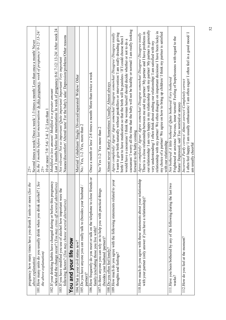| pregnancy how many times have you drunk 5 units or more (See the                                                        | $25+$                                                                                                                                                                                |
|-------------------------------------------------------------------------------------------------------------------------|--------------------------------------------------------------------------------------------------------------------------------------------------------------------------------------|
| above explanation)                                                                                                      | Several times a week/Once a week/ 1-3 times a month/Less than once a month/Never                                                                                                     |
| 101. How many units do you usually drink when you drink alcohol? (See                                                   | In the 3 months before last menstruation/ In this pregnancy, week of pregnancy/0-12/13-24/                                                                                           |
| the above explanation)                                                                                                  | $25 +$                                                                                                                                                                               |
|                                                                                                                         | 10 or more/ 7-9/ 5-6/ 3-4/ 1-2/ Less than 1                                                                                                                                          |
| pregnancy<br>102. If your drinking habits have changed during or before this                                            | Modified to less amount/Modified to a greater amount                                                                                                                                 |
| when did the change occur? ( <i>You may cross off several alternatives</i> )                                            | Last 3 months before last menstruation/ In week of pregnancy 0-6/7-12/13-24/ After week 24                                                                                           |
| 103.If you have modified you use of alcohol how important were the                                                      | Not relevant/Not so important/Quite important/ Important/ Very important                                                                                                             |
| following factors? (You may choose several alternatives)                                                                | Nausea/discomfort/ Altered taste/ For the baby's sake/ Depression/problems/Other reasons                                                                                             |
| You and your life now                                                                                                   |                                                                                                                                                                                      |
| 104. What is your civil status now?                                                                                     | Married/Cohabitant/Single/Divorced/separated/Widow/Other                                                                                                                             |
| 105. Do you have anyone you can really talk to (besides your husband<br>partner)?                                       | $No. / Yes, 1-2 / Yes, more than 2$                                                                                                                                                  |
| 106. How frequently do you meet or talk on the telephone to close friends or<br>family (excluding those you live with)? | Once a month or less/2-8 times a month/ More than twice a week                                                                                                                       |
| 107. Is there anyone you can rely on to help you with practical things                                                  | $No/ Yes$ 1-2/Yes more than 2                                                                                                                                                        |
| (besides your husband /partner)?                                                                                        |                                                                                                                                                                                      |
| $108$ . Do you often feel lonely?                                                                                       | Almost never/ Rarely/ Sometimes/ Usually/ Almost always                                                                                                                              |
| 109. How much do you agree with the following statements related to your                                                | Agree completely/Agree/Agree somewhat/Disagree somewhat/Disagree/Disagree totally                                                                                                    |
| thoughts and feelings?                                                                                                  | I want to give birth naturally without painkillers or intervention/ I am really dreading giving                                                                                      |
|                                                                                                                         | birth/I want to have medication so that the birth will be painless / If I could choose then I                                                                                        |
|                                                                                                                         | would have a caesarean/ I think the woman herself should decide whether or not to do a                                                                                               |
|                                                                                                                         | caesarean/ I worry all the time that the baby will not be healthy or normal/ I am really looking                                                                                     |
|                                                                                                                         | forward to the baby coming                                                                                                                                                           |
| relationship<br>110. How much do you agree with these statements about your                                             | Agree completely/Agree/Agree somewhat/Disagree somewhat/Disagree/Disagree totally                                                                                                    |
| with your partner (only answer if you have a relationship)?                                                             | There is a close relationship between me and my partner/ My partner and I have problems in                                                                                           |
|                                                                                                                         | our relationship/ I am very happy in my relationship with my partner/ My partner is generally                                                                                        |
|                                                                                                                         | relationship with my partner/We often disagree on important decisions/ I have been lucky in<br>very understanding/I often think about ending our relationship/I am satisfied with my |
|                                                                                                                         |                                                                                                                                                                                      |
|                                                                                                                         | my choice of a partner/ We agree on how to bring up children/I think my partner is satisfied<br>with our relationship                                                                |
| 111. Have you been bothered by any of the following during the last two                                                 | Not bothered/ $A$ little bothered/ Quite bothered/ Very bothered                                                                                                                     |
| weeks?                                                                                                                  | Frightened or anxious/ Nervous, inner turmoil/ Feeling of hopelessness with regard to the                                                                                            |
|                                                                                                                         | future/ Depressed, sad/ Too worried or uneasy                                                                                                                                        |
| 112. How do you feel at the moment?                                                                                     | Incorrect/Partly correct/Almost correct/Completely correct                                                                                                                           |
|                                                                                                                         | I often feel happy/I am usually enthusiastic/I am often eager/I often feel in a good mood/I<br>am usually cheerful                                                                   |
|                                                                                                                         |                                                                                                                                                                                      |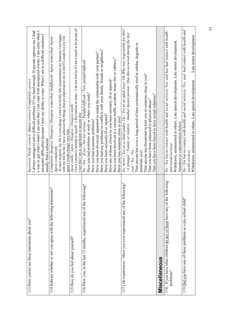| 113. How correct are these statements about you?                                      | a way to get what I want/ I am sure that I can cope with unexpected events/ I am calm when I<br>I always manage to solve difficult problems if I try hard enough/ If anyone opposes me I find<br>encounter difficulties because I trust my ability to cope/When I am in a difficult situation I<br>Incorrect/Partly correct/Almost correct/Completely correct<br>usually find a solution                                                                                                                                                                                           |
|---------------------------------------------------------------------------------------|------------------------------------------------------------------------------------------------------------------------------------------------------------------------------------------------------------------------------------------------------------------------------------------------------------------------------------------------------------------------------------------------------------------------------------------------------------------------------------------------------------------------------------------------------------------------------------|
| 114. Indicate whether or not you agree with the following statements?                 | In most respects, my life is everything I want it to be/My life circumstances are fantastic I am happy<br>with my life/So far, I have achieved the things that are important to me in life/If I could live my life<br>Completely disagree/ Disagree/ Disagree somewhat/ Indifferent/ Agree somewhat/ Agree/<br>again I would change very little<br>Agree completely                                                                                                                                                                                                                |
| 115. How do you feel about yourself?                                                  | I have a positive attitude to myself / I feel useless at times / I do not feel as if I have much to be proud of<br>Agree totally / Agree / Disagree / Disagree totally<br>I feel that I am as significant as anyone else                                                                                                                                                                                                                                                                                                                                                           |
| 116. Have you, in the last 12 months, experienced any of the following?               | Have you had any problems or conflicts with your family, friends or neighbours?<br>Have you been divorced, separated or ended the relationship with your partner?<br>Have you been involved in a serious traffic accident, house fire or robbery?<br>No / Yes / If yes / Not too serious / Painful/difficult / Very painful/difficult<br>Have any of those closest to you been seriously ill or injured?<br>Have you had problems at work or where you study?<br>Have you been seriously ill or injured?<br>Have you lost someone close to you?<br>Have you had economic problems? |
| 117. Life experiences - Have you ever experienced any of the following?               | No, never / Yes as a child (under 18) / Yes as an adult (over 18) Who was responsible for this?<br>$/$ A stranger / Family or relative / Another known person / Has this occurred during the last<br>That anyone has over a long period of time systematically tried to subdue, degrade or<br>That anyone has threatened to hurt you or someone close to you?<br>That you have been forced to have sexual relations?<br>That you have been subjected to physical abuse?<br>year / Yes / No<br>humiliate you?                                                                       |
| Miscellaneous                                                                         |                                                                                                                                                                                                                                                                                                                                                                                                                                                                                                                                                                                    |
| 118. If you have other children do any of them have any of the following<br>problems? | No / Yes but no contact with health and social services /Yes, and has had contact with health<br>Withdrawn, uninterested in others. Late speech development. Late motor development.<br>Attention or concentration deficit.<br>and social services                                                                                                                                                                                                                                                                                                                                 |
| 119. Did you have any of these problems as a pre-school child?                        | No / Yes but no contact with health and social services /Yes, and had contact with health and<br>Late motor development.<br>Withdrawn, uninterested in others. Late speech development.<br>social services                                                                                                                                                                                                                                                                                                                                                                         |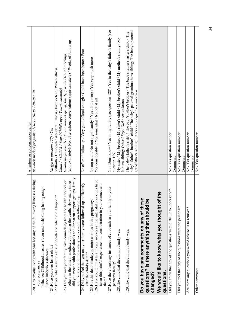|                                                                                                                                                                                                          | Attention or concentration deficit                                                                                                                                                                                                                                      |
|----------------------------------------------------------------------------------------------------------------------------------------------------------------------------------------------------------|-------------------------------------------------------------------------------------------------------------------------------------------------------------------------------------------------------------------------------------------------------------------------|
| 120. Has anyone living with you had any of the following illnesses during<br>cough<br>Influenza Childhood diseases (fever and rash)/Long lasting<br>Other infectious diseases<br>your pregnancy?         | In which week of pregnancy?/ $0-9$ / $10-19$ / $20-29$ / $30+$                                                                                                                                                                                                          |
| 121. Have you ever lost a child?                                                                                                                                                                         | No (go to question 127) / Yes                                                                                                                                                                                                                                           |
| 122. If yes, what was the cause of death and when did it happen'                                                                                                                                         | Stillbirth / Cot death / Accident / Illness / birth defect / Which illness<br>Child 1 / Child 2 / Year / Child's age / Year(s) month(s)                                                                                                                                 |
| services or<br>123. Did you and your family have counselling from the health                                                                                                                             | Health professionals / Parent support group, family, friends / No. of meetings                                                                                                                                                                                          |
| did you meet health professionals and /or parent support groups, family<br>others in the time immediately following the death? How many times<br>and friends and for how many weeks were you followed up | (approximately)/ No. of telephone conversations (approximately) / Weeks of follow up                                                                                                                                                                                    |
| 124. Did you feel that you and your family were followed up sufficiently<br>after the child's death?                                                                                                     | No offer of follow up / Very good / Good enough / Could have been better / Poor                                                                                                                                                                                         |
| 125. Has this death made you more anxious in this pregnancy?                                                                                                                                             | No not at all / No not significantly / Yes a little more / Yes very much more                                                                                                                                                                                           |
| 126. Have you felt that health care workers at the antenatal check ups have<br>taken this painful experience into consideration in your contact with<br>them?                                            | Yes considerably 7 Yes somewhat / No not at all                                                                                                                                                                                                                         |
| 127. Have there been any instances of cot death in your family or your<br>partner's family?                                                                                                              | No/Don't know/Yes in my family (see question 128)/Yes in the baby's father's family (see<br>question 129)                                                                                                                                                               |
| 128. The child that died in my family was:                                                                                                                                                               | My sister / My brother / My sister's child / My brother's child / My mother's sibling / My<br>father's sibling/Other / $Boy$ / Girl / sex unknown                                                                                                                       |
| 129. The child that died in my family was:                                                                                                                                                               | baby's father's brother's child / The baby's paternal grandmother's sibling/ The baby's paternal<br>The baby's father's sister / The baby's father's brother / The baby's father's sister's child / The<br>grandfather's sibling / Other / $Boy$ / $girl$ / sex unknown |
| Do you have any comments on any of these<br>questions? Is there anything that should be<br>changed?                                                                                                      |                                                                                                                                                                                                                                                                         |
| We would like to know what you thought of the<br>questions                                                                                                                                               |                                                                                                                                                                                                                                                                         |
| Did you think that any of the questions were difficult to understand?                                                                                                                                    | No / Yes question number<br>Comments                                                                                                                                                                                                                                    |
| Did you feel that any of the questions were too personal?                                                                                                                                                | No / Yes question number<br>Comments                                                                                                                                                                                                                                    |
| Are there any questions you would advise us to remove?                                                                                                                                                   | No / Yes question number<br>Comments                                                                                                                                                                                                                                    |
| Other comments                                                                                                                                                                                           | No / Yes question number                                                                                                                                                                                                                                                |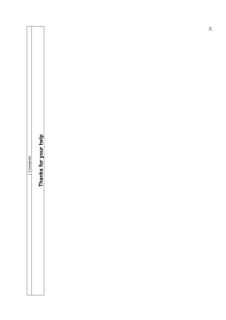|--|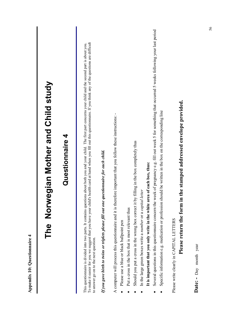| The Norwegian Mother and Child study<br>Questionnaire 4                                                                                                                                                                                                                                                                                                                                          |
|--------------------------------------------------------------------------------------------------------------------------------------------------------------------------------------------------------------------------------------------------------------------------------------------------------------------------------------------------------------------------------------------------|
| To make it easier for you we suggest that you have your child's health card at hand when you fill out this questionnaire. If you think any of the questions are difficult<br>about both you and your child. The first part concerns your child and the second part is about you.<br>This questionnaire is divided into two parts. It contains questions<br>to answer go on to the next question. |
| If you gave birth to twins or triplets please fill out one questionnaire for each child.                                                                                                                                                                                                                                                                                                         |
| e important that you follow these instructions: -<br>A computer will process this questionnaire and it is therefor<br>Put a cross in the box that is most relevant thus<br>Please use a blue or black ballpoint pen                                                                                                                                                                              |
| lling in the box completely thus<br>of each box, thus:<br>In the large green boxes write a number or a capital letter<br>Should you put a cross in the wrong box correct it by fil<br>It is important that you only write in the white area                                                                                                                                                      |
| Several questions in this questionnaire concern the week of pregnancy e.g. fill out week 5 for something that occurred 5 weeks following your last period<br>Id be written in the box on the corresponding line<br>Specific information e.g. medication or profession shou                                                                                                                       |
| he stamped addressed envelope provided.<br>Please return the form in th<br>Please write clearly in CAPITAL LETTERS                                                                                                                                                                                                                                                                               |
|                                                                                                                                                                                                                                                                                                                                                                                                  |

**Appendix 10: Questionnaire 4**

Appendix 10: Questionnaire 4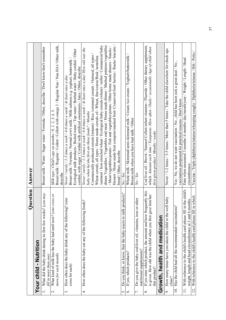| Dessert / Home made fruit compote/mashed fruit/ Conserved fruit/ berries / Rusks/ biscuits /<br>Breast milk / Regular / Collett / Collett with omega 3 / Regular Nan / Nan HA1/ Other milk,<br>dinner Vegetables / Vegetables and meat / Home made dinner / Mashed potatoes/vegetables<br>/oatmeal / Iron enriched wheat / Ecological baby cereals (wheat) / millet / Commercial baby<br>Cod liver oil / Biovit / Sanasol Collett infant vitamins / Fluoride / Other dietary supplement,<br>/Meat/vegetables/potato / Fish and vegetables/potato / Other home made dinners / Snacks /<br>Breast milk / Water / Sugar water / Formula / Other, describe / Don't know/don't remember<br>which Amount each time / Teaspoons /How often / Daily / occasionally /Age of child when<br>Never / rarely / 1-3 times a week / 4-6 times a week / At least once a day/ How old was the<br>Never / 1-2 times / 3-5 times / More than 5 times / Take the child elsewhere for check ups<br>Ecological milk products / Boiled water / Tap water / Bottled water / Baby cordial / Other<br>Whole milk / Skimmed/semi-skimmed milk / Cream /ice-cream / Yoghurt/buttermilk /<br>Commercially produced cereals (instant) / Rice /commeal cereals / Oatmeal, all types<br>Wheat cereals, all types / Home made cereals of:- Wheat, fine/coarse/Rusk /semolina<br>Date when measured 3 months/ 6 months/ day/month/year / Weight / Length / Head<br>Breast milk / Formula / Normal cow's milk / Milk cultures e.g. yoghurt, buttermilk<br>Yes / No, we do not want vaccination / No, child has been sick a great deal / No,<br>cordial, with sugar / Cordial with artificial sweeteners / Juice / Other, describe<br>Never / rarely / 1-3 times a week / 4-6 times a week / At least once a day<br>vaccination postponed for practical reasons / Don't know<br>Milk type / Child's age on months / 0, 1, 2, 3, 4, 5,<br>baby when he/she first ate these foods? / Months<br>Breast milk when you have had milk / Other<br>first given product / Months / weeks<br>bread / Other, describe<br>circumference<br>Answer<br>describe<br>No / Yes<br>No / Yes<br>Question<br>With reference to the child's health card please fill in the child's<br>frequently this<br>Do you think, or know, that the baby reacts to milk products?<br>What did the baby drink during its first few weeks? (you may<br>one cross or<br>is given. How old was the child when you first gave him/her<br>well baby<br>Do you give the baby cod-liver oil, vitamins, iron or other<br>How often does the baby drink any of the following? (one<br>6 months<br>How often does the baby eat any of the following foods?<br>Has the child had all the recommended vaccinations?<br>How many times have you taken the child to the<br>weight, length and head circumference at 3 and (<br>What kind of milk has the baby had until now?<br>If yes state which product, the amount and how<br>Growth, health and medication<br>Your child - Nutrition<br>nutritional supplements?<br>If yes, which products?<br>more for each month)<br>fill in more than one)<br>cross for each)<br>this product?<br>$\text{climc?}$<br>$\overline{10}$<br>$\overline{2}$ .<br>$\mathfrak{o}$<br>7.<br>$\dot{\epsilon}$<br>Ġ.<br>œ.<br>$\overline{\mathcal{N}}$<br>4.<br>ς. |                                                                |                                                                                         |
|---------------------------------------------------------------------------------------------------------------------------------------------------------------------------------------------------------------------------------------------------------------------------------------------------------------------------------------------------------------------------------------------------------------------------------------------------------------------------------------------------------------------------------------------------------------------------------------------------------------------------------------------------------------------------------------------------------------------------------------------------------------------------------------------------------------------------------------------------------------------------------------------------------------------------------------------------------------------------------------------------------------------------------------------------------------------------------------------------------------------------------------------------------------------------------------------------------------------------------------------------------------------------------------------------------------------------------------------------------------------------------------------------------------------------------------------------------------------------------------------------------------------------------------------------------------------------------------------------------------------------------------------------------------------------------------------------------------------------------------------------------------------------------------------------------------------------------------------------------------------------------------------------------------------------------------------------------------------------------------------------------------------------------------------------------------------------------------------------------------------------------------------------------------------------------------------------------------------------------------------------------------------------------------------------------------------------------------------------------------------------------------------------------------------------------------------------------------------------------------------------------------------------------------------------------------------------------------------------------------------------------------------------------------------------------------------------------------------------------------------------------------------------------------------------------------------------------------------------------------------------------------------------------------------------------------------------------------------------------------------------------------------------------------------------------------------------------------------------------------------------------------------------------------------------------------------------------------------------------------------------------------------------------------------------------------|----------------------------------------------------------------|-----------------------------------------------------------------------------------------|
|                                                                                                                                                                                                                                                                                                                                                                                                                                                                                                                                                                                                                                                                                                                                                                                                                                                                                                                                                                                                                                                                                                                                                                                                                                                                                                                                                                                                                                                                                                                                                                                                                                                                                                                                                                                                                                                                                                                                                                                                                                                                                                                                                                                                                                                                                                                                                                                                                                                                                                                                                                                                                                                                                                                                                                                                                                                                                                                                                                                                                                                                                                                                                                                                                                                                                                               |                                                                |                                                                                         |
|                                                                                                                                                                                                                                                                                                                                                                                                                                                                                                                                                                                                                                                                                                                                                                                                                                                                                                                                                                                                                                                                                                                                                                                                                                                                                                                                                                                                                                                                                                                                                                                                                                                                                                                                                                                                                                                                                                                                                                                                                                                                                                                                                                                                                                                                                                                                                                                                                                                                                                                                                                                                                                                                                                                                                                                                                                                                                                                                                                                                                                                                                                                                                                                                                                                                                                               |                                                                |                                                                                         |
|                                                                                                                                                                                                                                                                                                                                                                                                                                                                                                                                                                                                                                                                                                                                                                                                                                                                                                                                                                                                                                                                                                                                                                                                                                                                                                                                                                                                                                                                                                                                                                                                                                                                                                                                                                                                                                                                                                                                                                                                                                                                                                                                                                                                                                                                                                                                                                                                                                                                                                                                                                                                                                                                                                                                                                                                                                                                                                                                                                                                                                                                                                                                                                                                                                                                                                               |                                                                |                                                                                         |
|                                                                                                                                                                                                                                                                                                                                                                                                                                                                                                                                                                                                                                                                                                                                                                                                                                                                                                                                                                                                                                                                                                                                                                                                                                                                                                                                                                                                                                                                                                                                                                                                                                                                                                                                                                                                                                                                                                                                                                                                                                                                                                                                                                                                                                                                                                                                                                                                                                                                                                                                                                                                                                                                                                                                                                                                                                                                                                                                                                                                                                                                                                                                                                                                                                                                                                               |                                                                |                                                                                         |
|                                                                                                                                                                                                                                                                                                                                                                                                                                                                                                                                                                                                                                                                                                                                                                                                                                                                                                                                                                                                                                                                                                                                                                                                                                                                                                                                                                                                                                                                                                                                                                                                                                                                                                                                                                                                                                                                                                                                                                                                                                                                                                                                                                                                                                                                                                                                                                                                                                                                                                                                                                                                                                                                                                                                                                                                                                                                                                                                                                                                                                                                                                                                                                                                                                                                                                               |                                                                |                                                                                         |
|                                                                                                                                                                                                                                                                                                                                                                                                                                                                                                                                                                                                                                                                                                                                                                                                                                                                                                                                                                                                                                                                                                                                                                                                                                                                                                                                                                                                                                                                                                                                                                                                                                                                                                                                                                                                                                                                                                                                                                                                                                                                                                                                                                                                                                                                                                                                                                                                                                                                                                                                                                                                                                                                                                                                                                                                                                                                                                                                                                                                                                                                                                                                                                                                                                                                                                               |                                                                |                                                                                         |
|                                                                                                                                                                                                                                                                                                                                                                                                                                                                                                                                                                                                                                                                                                                                                                                                                                                                                                                                                                                                                                                                                                                                                                                                                                                                                                                                                                                                                                                                                                                                                                                                                                                                                                                                                                                                                                                                                                                                                                                                                                                                                                                                                                                                                                                                                                                                                                                                                                                                                                                                                                                                                                                                                                                                                                                                                                                                                                                                                                                                                                                                                                                                                                                                                                                                                                               |                                                                |                                                                                         |
|                                                                                                                                                                                                                                                                                                                                                                                                                                                                                                                                                                                                                                                                                                                                                                                                                                                                                                                                                                                                                                                                                                                                                                                                                                                                                                                                                                                                                                                                                                                                                                                                                                                                                                                                                                                                                                                                                                                                                                                                                                                                                                                                                                                                                                                                                                                                                                                                                                                                                                                                                                                                                                                                                                                                                                                                                                                                                                                                                                                                                                                                                                                                                                                                                                                                                                               |                                                                |                                                                                         |
|                                                                                                                                                                                                                                                                                                                                                                                                                                                                                                                                                                                                                                                                                                                                                                                                                                                                                                                                                                                                                                                                                                                                                                                                                                                                                                                                                                                                                                                                                                                                                                                                                                                                                                                                                                                                                                                                                                                                                                                                                                                                                                                                                                                                                                                                                                                                                                                                                                                                                                                                                                                                                                                                                                                                                                                                                                                                                                                                                                                                                                                                                                                                                                                                                                                                                                               |                                                                |                                                                                         |
|                                                                                                                                                                                                                                                                                                                                                                                                                                                                                                                                                                                                                                                                                                                                                                                                                                                                                                                                                                                                                                                                                                                                                                                                                                                                                                                                                                                                                                                                                                                                                                                                                                                                                                                                                                                                                                                                                                                                                                                                                                                                                                                                                                                                                                                                                                                                                                                                                                                                                                                                                                                                                                                                                                                                                                                                                                                                                                                                                                                                                                                                                                                                                                                                                                                                                                               |                                                                |                                                                                         |
|                                                                                                                                                                                                                                                                                                                                                                                                                                                                                                                                                                                                                                                                                                                                                                                                                                                                                                                                                                                                                                                                                                                                                                                                                                                                                                                                                                                                                                                                                                                                                                                                                                                                                                                                                                                                                                                                                                                                                                                                                                                                                                                                                                                                                                                                                                                                                                                                                                                                                                                                                                                                                                                                                                                                                                                                                                                                                                                                                                                                                                                                                                                                                                                                                                                                                                               |                                                                |                                                                                         |
|                                                                                                                                                                                                                                                                                                                                                                                                                                                                                                                                                                                                                                                                                                                                                                                                                                                                                                                                                                                                                                                                                                                                                                                                                                                                                                                                                                                                                                                                                                                                                                                                                                                                                                                                                                                                                                                                                                                                                                                                                                                                                                                                                                                                                                                                                                                                                                                                                                                                                                                                                                                                                                                                                                                                                                                                                                                                                                                                                                                                                                                                                                                                                                                                                                                                                                               |                                                                |                                                                                         |
|                                                                                                                                                                                                                                                                                                                                                                                                                                                                                                                                                                                                                                                                                                                                                                                                                                                                                                                                                                                                                                                                                                                                                                                                                                                                                                                                                                                                                                                                                                                                                                                                                                                                                                                                                                                                                                                                                                                                                                                                                                                                                                                                                                                                                                                                                                                                                                                                                                                                                                                                                                                                                                                                                                                                                                                                                                                                                                                                                                                                                                                                                                                                                                                                                                                                                                               | With reference to the child's health card please fill in which | Vaccine / Triple (diphtheria/tetanus/whooping cough) / Diphtheria/tetanus / Hib / Polio |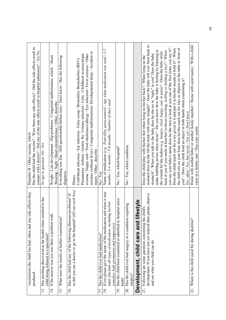| vaccinations the child has had, when and any side effects they<br>produced                                                                                                 | Has the child had the vaccine? / Were there any side effects? / Did the side effects result in<br>contact with a doctor? / Did any of the side effects result in hospital admission? / $Yes/No$<br>Hepatitis B / Other vaccine, which                                                                                                                                                                                                                                                                                                                                                                                                                                                                                                                                                                                                                                                                                                                                                                  |
|----------------------------------------------------------------------------------------------------------------------------------------------------------------------------|--------------------------------------------------------------------------------------------------------------------------------------------------------------------------------------------------------------------------------------------------------------------------------------------------------------------------------------------------------------------------------------------------------------------------------------------------------------------------------------------------------------------------------------------------------------------------------------------------------------------------------------------------------------------------------------------------------------------------------------------------------------------------------------------------------------------------------------------------------------------------------------------------------------------------------------------------------------------------------------------------------|
| lted in the<br>Has anything discovered at the health clinic resul<br>child being referred to a specialist?<br>13.                                                          | No (go to question 16) / $Yes$                                                                                                                                                                                                                                                                                                                                                                                                                                                                                                                                                                                                                                                                                                                                                                                                                                                                                                                                                                         |
| If the answer was yes was there a problem with:<br>$\overline{4}$                                                                                                          | Weight / Late development / Hip problems / Congenital malformation, which / Heart<br>Hearing / Sight / Head circumference / Other, describe                                                                                                                                                                                                                                                                                                                                                                                                                                                                                                                                                                                                                                                                                                                                                                                                                                                            |
| What were the results of further examination?<br>15.                                                                                                                       | Everything was fine / Still questionable/further tests / Don't know / Has the following<br>diagnosis                                                                                                                                                                                                                                                                                                                                                                                                                                                                                                                                                                                                                                                                                                                                                                                                                                                                                                   |
| out each box)<br>Has the child had any of the following illnesses/problems? If<br>so did you see a doctor or go to the hospital? (fill<br>$\frac{6}{1}$                    | seizures (without fever) / Congenital malformations/ Developmental delay / Accident or<br>Pneumonia/ Asthma / Gastric flu / Urinary infection / Colic / Childhood eczema/atopic<br>eczema / Nappy rash / Food intolerance/allergy / Eye infection / Fever seizures / Other<br>Cold/throat infection / Ear infection / False croup / Bronchitis/ Bronchiolitis (RSV)/<br>injury / Other, describe<br>Illness                                                                                                                                                                                                                                                                                                                                                                                                                                                                                                                                                                                            |
| Has the child ever had medication?                                                                                                                                         | No/Yes                                                                                                                                                                                                                                                                                                                                                                                                                                                                                                                                                                                                                                                                                                                                                                                                                                                                                                                                                                                                 |
| 18. If yes please give the name of the medication and when it was<br>used. (Include all types of medication, including herbal<br>remedies both permanent and temporary)    | Name of medication (e.g. .Penicillin, paracetamol) / Age when medication was used / 1-2<br>months $/$ 3-4 months $/$ 5-6 months $/$ Number of days used                                                                                                                                                                                                                                                                                                                                                                                                                                                                                                                                                                                                                                                                                                                                                                                                                                                |
| Has the child been examined or admitted to hospital since<br>birth?<br>19.                                                                                                 | No / Yes, which hospital?                                                                                                                                                                                                                                                                                                                                                                                                                                                                                                                                                                                                                                                                                                                                                                                                                                                                                                                                                                              |
| 20. Has the child ever had surgery or a condition requiring<br>surgery?                                                                                                    | No / Yes, which condition                                                                                                                                                                                                                                                                                                                                                                                                                                                                                                                                                                                                                                                                                                                                                                                                                                                                                                                                                                              |
| Development, child care and lifestyle                                                                                                                                      |                                                                                                                                                                                                                                                                                                                                                                                                                                                                                                                                                                                                                                                                                                                                                                                                                                                                                                                                                                                                        |
| development. If you have not yet noticed then please observe<br>Following are some questions concerning the child's<br>and see what you child can do.<br>$\overline{21}$ . | stomach does he/she lift the trunk with arms straight? / Does the baby roll over from back to<br>you say your baby's name does he/she turn to look at you one of the first times you say it? /<br>the child sits on your knee does he/she reach out for toys or objects on the table in front of<br>Does the child reach out for a toy given to it and put it in his/her mouth or hold it? / When<br>make babbling noises when alone? / Do you know how the baby is feeling by listening to<br>back at you if you smile at him/her (without touching, tickling or holding a toy)? / When<br>the sounds he/she makes (e.g. hungry, tired, happy, sad, in pain)? / Does the baby smile<br>stomach? / When you talk to the baby does he/she try to "reply" to you? Does the baby<br>Does the child play with his/her feet when lying on his/her back? / When lying on the<br>you? / Does the child hold an object in both hands when examining it?<br>Yes, often / Yes, but rarely / Not yet / Don't know |
| 22. Where is the child cared for during daytime?                                                                                                                           | Home with mother/father or another family member / Home with carer/namy / With a child<br>carer in a family unit / Day-care centre                                                                                                                                                                                                                                                                                                                                                                                                                                                                                                                                                                                                                                                                                                                                                                                                                                                                     |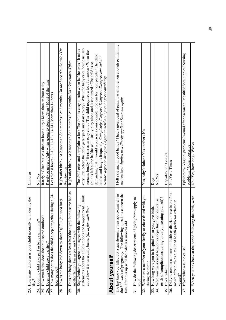| How many children is your child normally with during the<br>$day$ ?<br>23.                                                          | Children                                                                                                                                                                                                                                            |
|-------------------------------------------------------------------------------------------------------------------------------------|-----------------------------------------------------------------------------------------------------------------------------------------------------------------------------------------------------------------------------------------------------|
| 24. Does the child take part in baby swimming?                                                                                      | No/Yes                                                                                                                                                                                                                                              |
| How much time does the child spend outdoor?<br>25.                                                                                  | Rarely / Often but less than an hour a day / More than an hour a day                                                                                                                                                                                |
| Does the child use a pacifier?<br>26.                                                                                               | Rarely or never / Only when going to sleep / Often / Most of the time                                                                                                                                                                               |
| during a 24-<br>27. How many hours does the child sleep altogether<br>hour period?                                                  | Less than 8 hours / 8-10 / 11-12 / 13-14 / More than 14 hours                                                                                                                                                                                       |
| How is the baby laid down to sleep? (fill in for each line)<br>28.                                                                  | Right after birth / At 2 months / At 4 months / At 6 months On the back /On the side / On<br>the stomach                                                                                                                                            |
| Does the baby sleep (at least half the night) in the same bed as<br>mother/father (Fill in for each line)?<br>29.                   | Right after birth / At 2 months / At 4 months / At 6 months No / Sometimes /Often                                                                                                                                                                   |
| statements about the child's moods and temperament. Think<br>Say whether you agree or disagree with the following<br>30.            | very little before the child gets upset and starts to cry/When the baby cries he/she usually<br>The child cries and complains a lot / The child is easy to calm when he/she cries / It takes                                                        |
| about how it is on a daily basis. (fill in for each line)                                                                           | screams loudly / He/she is an easy child / The child requires a lot of attention / When the<br>child is left alone he/she will usually play alone and is contented / The child is so                                                                |
|                                                                                                                                     | demanding that it would represent a considerable problem for most parents / The child<br>smiles and laughs frequently Completely disagree / Disagree / Disagree somewhat /<br>Neither agree or disagree / Agree somewhat / Agree / Agree completely |
| <b>About yourself</b>                                                                                                               |                                                                                                                                                                                                                                                     |
| The last time you filled out a questionnaire was approximately in                                                                   | I felt safe and in good hands / I had a great deal of pain / I was not given enough pain killing                                                                                                                                                    |
| concern the<br>the 30 <sup>th</sup> week of pregnancy. The following questions<br>time after this up until the baby is 6 months old | medication / Applies well / Partly applies / Does not apply                                                                                                                                                                                         |
| 31. How do the following descriptions of giving birth apply to<br>you?                                                              |                                                                                                                                                                                                                                                     |
| Was there a member of your family or close friend with you<br>during the birth?<br>32.                                              | Yes, baby's father / Yes another / No                                                                                                                                                                                                               |
| How long were you in hospital when you gave birth?<br>33.                                                                           | Days                                                                                                                                                                                                                                                |
| yourself)?<br>34. Were you transferred to another department or hospital as<br>result of complications during birth (concerning     | No/Yes                                                                                                                                                                                                                                              |
| If yes, which?<br>35.                                                                                                               | Department / Hospital                                                                                                                                                                                                                               |
| 36. Did you contact a doctor, midwife or district nurse in the first<br>month after birth as a result of health problems related to | No /Yes / Times                                                                                                                                                                                                                                     |
| youself?                                                                                                                            |                                                                                                                                                                                                                                                     |
| If yes what was the cause?<br>37.                                                                                                   | Episiotomy/ Vaginal problems/ wound after caesarean/ Mastitis/ Sore nipples/ Nursing<br>problems / Other, describe                                                                                                                                  |
| birth, were<br>When you look back at the period following the<br>38.                                                                | No / Yes, how long / Weeks                                                                                                                                                                                                                          |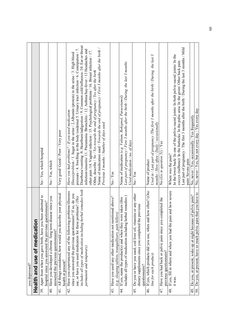| you depressed?                                                                                                                |                                                                                                                                                                                                                                                                                         |
|-------------------------------------------------------------------------------------------------------------------------------|-----------------------------------------------------------------------------------------------------------------------------------------------------------------------------------------------------------------------------------------------------------------------------------------|
| Health and use of medication                                                                                                  |                                                                                                                                                                                                                                                                                         |
| 39. Apart from when you gave birth, have you been admitted to<br>hospital since you answered the previous questionnaire?      | No / Yes, which hospital                                                                                                                                                                                                                                                                |
| since you<br>Have you developed a chronic /long term disease<br>answered the previous questionnaire?<br>$\frac{40}{5}$        | No / Yes, which                                                                                                                                                                                                                                                                         |
| All things considered, how would you describe your physical<br>health at present?<br>$\frac{1}{4}$                            | Very good/Good/Poor/Very poor                                                                                                                                                                                                                                                           |
| Have you experienced any of the following problems/illnesses<br>$\frac{1}{4}$                                                 | Have you had problems? / If you used medication                                                                                                                                                                                                                                         |
| If so, do you<br>since you answered the previous questionnaire?                                                               | Illness/problem / 1. Sugar in the urine / 2. Albumin (protein) in the urine / 3. High blood                                                                                                                                                                                             |
| includes all types of medication including herbal remedies both<br>use, or have you used medication for these problems? (This | Diarrhoea/vomiting /8. Heartburn/indigestion / 9. Common cold/influenza /10. Ear or throat<br>pressure / 4. Swelling in the body (oedema) 5. Urinary tract infection / 6. Constipation / 7.<br>infection/sinusitis/ 11. Pneumonia /Bronchitis / 12. Asthma/hay-fever / 13 Headaches and |
| permanent and temporary)                                                                                                      | other pain /14. Vaginal infection / 15. Psychological problems / 16. Breast infection / 17.                                                                                                                                                                                             |
|                                                                                                                               | Other, describe / $No$ / Yes towards the end of pregnancy / Yes after the birth                                                                                                                                                                                                         |
|                                                                                                                               | Name of medication used / Towards the end of pregnancy / First 3 months after the birth /<br>Previous 3 months / Number of days used                                                                                                                                                    |
| ed above?<br>Have you used any other medication not mention<br>43.                                                            | No/Yes                                                                                                                                                                                                                                                                                  |
| (e.g. sleeping tablets, tranquillisers, pain killers)                                                                         |                                                                                                                                                                                                                                                                                         |
| 44. If yes, name the product(s) and when they were taken (this                                                                | Name of medication (e.g. Valium, Rohypnol, Paracetamol)                                                                                                                                                                                                                                 |
| includes all types of medication including herbal remedies)                                                                   | Last part of pregnancy / First 3 months after the birth / During the last 3 months<br>Used medication / $no.$ of days                                                                                                                                                                   |
| 45. Do you or have you used, cod liver oil, vitamins or any other                                                             | No / Yes                                                                                                                                                                                                                                                                                |
| dietary supplements since you completed the previous<br>questionnaire?                                                        |                                                                                                                                                                                                                                                                                         |
| 46. If yes, which products did you use, when and how often? (One                                                              | Name of product                                                                                                                                                                                                                                                                         |
| line for each product)                                                                                                        | Used in / Last part of pregnancy /The first 3 months after the birth / During the last 3<br>months / How often / Daily / occasionally                                                                                                                                                   |
| 47. Have you had back or pelvic pain since you completed the<br>previous questionnaire?                                       | No (Go to question 51) / Yes                                                                                                                                                                                                                                                            |
| 48. If yes, fill in where and when you had the pain and how severe                                                            | Where was the pain?                                                                                                                                                                                                                                                                     |
| it was.                                                                                                                       | In the lower back/ In one of the pelvic-sacral joints/ In both pelvic-sacral joints/ In the                                                                                                                                                                                             |
|                                                                                                                               | coccyx (tailbone)/ In the buttocks/ In the pubic area/ In the groin/ Other back pain Last part of pregnancy / The first 3 months after the birth / During the last 3 months / Mild                                                                                                      |
|                                                                                                                               |                                                                                                                                                                                                                                                                                         |
|                                                                                                                               | pain/Severe pain                                                                                                                                                                                                                                                                        |
| 49. Do you, at present, wake up at night because of pelvic pain?                                                              | No, never / Yes, occasionally / Yes frequently                                                                                                                                                                                                                                          |
| 50. Do you, at present, have so much pelvic pain that you have to                                                             | No, never / Yes, but not every day / Yes every day                                                                                                                                                                                                                                      |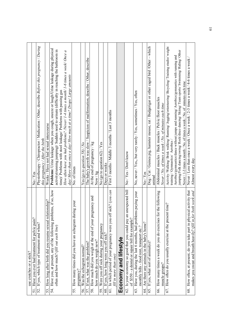| use crutches or a stick?                                                                                                                   |                                                                                                                                                                                           |
|--------------------------------------------------------------------------------------------------------------------------------------------|-------------------------------------------------------------------------------------------------------------------------------------------------------------------------------------------|
| Have you ever had treatment for pelvic pain?<br>51.                                                                                        | $Y$ es<br>$\overline{5}$                                                                                                                                                                  |
| 52. If yes, which type of treatment and when?                                                                                              | Physiotherapy / Chiropractor / Medication / Other, describe Before this pregnancy / During<br>this pregnancy / After the birth                                                            |
| How long after birth did you resume sexual relationship?<br>53.                                                                            | Weeks / Have not had sexual intercourse                                                                                                                                                   |
| 54. Have you, at present, any of the following problems, if so, how                                                                        | Problems: Urine leakage when you cough, sneeze or laugh/Urine leakage during physical                                                                                                     |
| often and how much? (fill out each line)                                                                                                   | activity(running jumping)/ Sudden need to urinate (difficulty in reaching the bathroom in                                                                                                 |
|                                                                                                                                            | time)/ Problems with stool leakage/ Problems with passing gas                                                                                                                             |
|                                                                                                                                            | How often have you had problems? /Never/ 1-4 times a month/ 1-6 times a week/ Once a<br>day/ More than once a day/ How much at a time? Drops/ Large amounts                               |
| How many times did you have an echogram during your<br>55.                                                                                 | No. of times                                                                                                                                                                              |
| pregnancy?                                                                                                                                 |                                                                                                                                                                                           |
| Was the echogram normal?<br>56.                                                                                                            | Yes (go to question 58) / No                                                                                                                                                              |
| If not, what was the problem?<br>57                                                                                                        | Suspicion of malformation, describe / Other, describe<br>The baby's growth was slow                                                                                                       |
| How much did you weigh at the end of your pregnancy and<br>how much do you weigh now?<br>58.                                               | At the end of pregnancy / kg<br>Now / kg                                                                                                                                                  |
| Were you off sick during your pregnancy<br>59.                                                                                             | No (go to question 62) / $Yes$                                                                                                                                                            |
| If yes, how long were you off sick?<br>$\rm ^{60}$                                                                                         | Days or weeks                                                                                                                                                                             |
| sick? (you can<br>In which period of your pregnancy were you off<br>fill in more than one)<br>$\overline{5}$                               | First 3 months / Middle 3 months / Last 3 months                                                                                                                                          |
| Economy and lifestyle                                                                                                                      |                                                                                                                                                                                           |
| 62. Is your economy so good that you could pay an unexpected bill<br>of \$350 - a dental or repair bill for example?                       | No / Yes / Don't know                                                                                                                                                                     |
| 63. Have you, during the last 6 months, had problems paying your<br>monthly bills - food rent, transport etc.?                             | No, never / Yes,, but very rarely / Yes, sometimes / Yes, often                                                                                                                           |
| Are there any animals in the baby's home?<br>4                                                                                             | No / Yes                                                                                                                                                                                  |
| If yes, what sort of animal $(s)$ ?<br>65.                                                                                                 | Dog/Cat/Guinea pig, hamster mouse, rat/Budgerigar or other caged bird/Other – which<br>anıma                                                                                              |
| the following<br>66. How many times a week do you do exercises for<br>muscle groups?                                                       | Abdominal muscles / Back muscles / Pelvic floor muscles<br>Never / No. of times a week / No. of minutes each time                                                                         |
| 67. How often do you usually exercise at the present time?                                                                                 | Activity /Walking/ Brisk walking/ Ruming/ Jogging/orienteering/ Bicycling/ Training studio/ weight                                                                                        |
|                                                                                                                                            | training / Gymnastics/ Aerobics                                                                                                                                                           |
|                                                                                                                                            | jumping/Folk dancing/swing/ Rock/disco dancing/ Skiing/ Team sports/ Swimming/ Riding/ Other<br>Aerobics/gymnastics/dance without jumps and running/ Aerobics/gymnastics with running and |
|                                                                                                                                            | Never / 1-3 times a month / No. of times a week / No. of minutes each time                                                                                                                |
| 68. How often, at present, do you take part in physical activity that<br>both work and<br>makes you sweat and breath heavily? (fill in for | Never / Less than once a week / Once a week / 2-3 times a week / 4-6 times a week /<br>Almost every day                                                                                   |
|                                                                                                                                            |                                                                                                                                                                                           |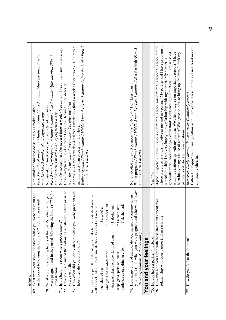| leisure)                                                                                                                                                             |                                                                                                                                                                                                                                                                                                                                                                     |
|----------------------------------------------------------------------------------------------------------------------------------------------------------------------|---------------------------------------------------------------------------------------------------------------------------------------------------------------------------------------------------------------------------------------------------------------------------------------------------------------------------------------------------------------------|
| What were your smoking habits while you were pregnant and<br>in the period following the birth? (fill in for each period)<br>69.                                     | First 3 months of pregnancy /Middle 3 months / Last 3 months /After the birth /First 3<br>Non-smoker / Smoked occasionally / Smoked daily<br>months / Last 3 months / No. of cigarettes a day                                                                                                                                                                       |
| were pregnant and in the period following the birth? $\frac{f}{d}$ in for<br>What were the smoking habits of the baby's father while you<br>each period)<br>70.      | First 3 months of pregnancy Middle 3 months / Last 3 months / After the birth /First 3<br>Non-smoker / Smoked occasionally / Smoked daily<br>months / Last 3 months / No. of cigarettes a day                                                                                                                                                                       |
| Is the baby in a room where people smoke?<br>$\overline{71}$                                                                                                         | No / Yes sometimes /Yes several times a week / Yes daily / If yes, how many hours a day                                                                                                                                                                                                                                                                             |
| Have you used any of the following substances before or since<br>72.                                                                                                 | Hash / Amphetamine / Ecstacy / Cocaine / Heroin / Other, describe                                                                                                                                                                                                                                                                                                   |
| you gave birth?                                                                                                                                                      | No / Yes the last part of pregnancy / Yes after the birth                                                                                                                                                                                                                                                                                                           |
| pregnant and<br>73. How often did you drink alcohol while you were<br>how often do you drink now?                                                                    | While pregnant / First 3 months / Middle 3 months / Last 3 months / After the birth / First 3<br>Approx. 6-7 times a week $/4$ -5 times a week $/2$ -3 times a week $/$ Once a week $/1$ -3 times a<br>month / Less than once a month / Never<br>months / Last 3 months                                                                                             |
| In order to compare the different types of alcohol, we ask about what we<br>call alcohol units (= 1.5 cl. pure alcohol). 1 alcohol unit means:                       |                                                                                                                                                                                                                                                                                                                                                                     |
| $= 1$ alcohol unit<br>1 beer glass of beer                                                                                                                           |                                                                                                                                                                                                                                                                                                                                                                     |
| $= 1$ alcohol unit<br>1 wine glass red or white wine                                                                                                                 |                                                                                                                                                                                                                                                                                                                                                                     |
| $ $ unit<br>$= 1$ alcohol<br>1 wine glass sherry or other fortified wine                                                                                             |                                                                                                                                                                                                                                                                                                                                                                     |
| unit<br>$= 1$ alcohol<br>1 snaps glass spirits or liqueur                                                                                                            |                                                                                                                                                                                                                                                                                                                                                                     |
| $= 1$ alcohol unit<br>1 bottle/can energy drink or cider                                                                                                             |                                                                                                                                                                                                                                                                                                                                                                     |
| you drink? (both when you were pregnant and afterwards) (see<br>How many units of alcohol do you normally consume when<br>above explanation of alcohol units)<br>74. | While pregnant / First 3 months / Middle 3 months / Last 3 months / After the birth /First 3<br>No. of alcohol units / 10 or more $/$ 7-9 / 5-6 / 3-4 / 1-2 / Less than 1<br>months / Last 3 months                                                                                                                                                                 |
| You and your feelings                                                                                                                                                |                                                                                                                                                                                                                                                                                                                                                                     |
| 75. Do you have a partner / husband                                                                                                                                  | Yes/No                                                                                                                                                                                                                                                                                                                                                              |
| 76. How much do you agree with these statements about your<br>relationship with your partner (fill in each line)                                                     | There is a close relationship between me and my partner/ My partner and I have problems in<br>Agree completely/Agree/Agree somewhat/Disagree somewhat/Disagree/Disagree totally<br>generally very understanding/ I often think about ending our relationship/ I am satisfied<br>our relationship/ I am very happy in my relationship with my partner/ My partner is |
|                                                                                                                                                                      | with my relationship with my partner/ We often disagree on important decisions/ I have<br>been lucky in my choice of a partner/We agree on how to bring up children/ I think my<br>partner is satisfied with our relationship                                                                                                                                       |
| 77. How do you feel at the moment?                                                                                                                                   | Incorrect/ Partly correct/ Almost correct/ Completely correct                                                                                                                                                                                                                                                                                                       |
|                                                                                                                                                                      | I often feel happy/ I am usually enthusiastic/ I am often eager/ I often feel in a good mood/ I<br>am usually cheerful                                                                                                                                                                                                                                              |